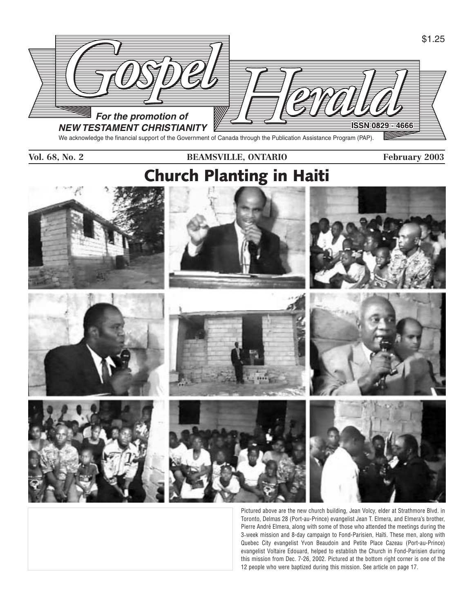

We acknowledge the financial support of the Government of Canada through the Publication Assistance Program (PAP).

### **Vol. 68, No. 2 BEAMSVILLE, ONTARIO February 2003**





















Pictured above are the new church building, Jean Volcy, elder at Strathmore Blvd. in Toronto, Delmas 28 (Port-au-Prince) evangelist Jean T. Elmera, and Elmera's brother, Pierre André Elmera, along with some of those who attended the meetings during the 3-week mission and 8-day campaign to Fond-Parisien, Haïti. These men, along with Quebec City evangelist Yvon Beaudoin and Petite Place Cazeau (Port-au-Prince) evangelist Voltaire Edouard, helped to establish the Church in Fond-Parisien during this mission from Dec. 7-26, 2002. Pictured at the bottom right corner is one of the 12 people who were baptized during this mission. See article on page 17.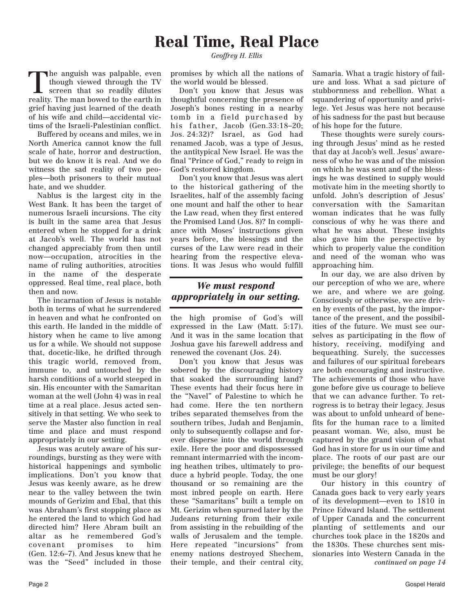## **Real Time, Real Place**

*Geoffrey H. Ellis*

The anguish was palpable, even<br>though viewed through the TV<br>screen that so readily dilutes<br>reality The man bowed to the earth in though viewed through the TV reality. The man bowed to the earth in grief having just learned of the death of his wife and child—accidental victims of the Israeli-Palestinian conflict.

Buffered by oceans and miles, we in North America cannot know the full scale of hate, horror and destruction, but we do know it is real. And we do witness the sad reality of two peoples—both prisoners to their mutual hate, and we shudder.

Nablus is the largest city in the West Bank. It has been the target of numerous Israeli incursions. The city is built in the same area that Jesus entered when he stopped for a drink at Jacob's well. The world has not changed appreciably from then until now—occupation, atrocities in the name of ruling authorities, atrocities in the name of the desperate oppressed. Real time, real place, both then and now.

The incarnation of Jesus is notable both in terms of what he surrendered in heaven and what he confronted on this earth. He landed in the middle of history when he came to live among us for a while. We should not suppose that, docetic-like, he drifted through this tragic world, removed from, immune to, and untouched by the harsh conditions of a world steeped in sin. His encounter with the Samaritan woman at the well (John 4) was in real time at a real place. Jesus acted sensitively in that setting. We who seek to serve the Master also function in real time and place and must respond appropriately in our setting.

Jesus was acutely aware of his surroundings, bursting as they were with historical happenings and symbolic implications. Don't you know that Jesus was keenly aware, as he drew near to the valley between the twin mounds of Gerizim and Ebal, that this was Abraham's first stopping place as he entered the land to which God had directed him? Here Abram built an altar as he remembered God's covenant promises to him (Gen. 12:6–7). And Jesus knew that he was the "Seed" included in those

promises by which all the nations of the world would be blessed.

Don't you know that Jesus was thoughtful concerning the presence of Joseph's bones resting in a nearby tomb in a field purchased by his father, Jacob (Gen.33:18–20; Jos. 24:32)? Israel, as God had renamed Jacob, was a type of Jesus, the antitypical New Israel. He was the final "Prince of God," ready to reign in God's restored kingdom.

Don't you know that Jesus was alert to the historical gathering of the Israelites, half of the assembly facing one mount and half the other to hear the Law read, when they first entered the Promised Land (Jos. 8)? In compliance with Moses' instructions given years before, the blessings and the curses of the Law were read in their hearing from the respective elevations. It was Jesus who would fulfill

### *We must respond appropriately in our setting.*

the high promise of God's will expressed in the Law (Matt. 5:17). And it was in the same location that Joshua gave his farewell address and renewed the covenant (Jos. 24).

Don't you know that Jesus was sobered by the discouraging history that soaked the surrounding land? These events had their focus here in the "Navel" of Palestine to which he had come. Here the ten northern tribes separated themselves from the southern tribes, Judah and Benjamin, only to subsequently collapse and forever disperse into the world through exile. Here the poor and dispossessed remnant intermarried with the incoming heathen tribes, ultimately to produce a hybrid people. Today, the one thousand or so remaining are the most inbred people on earth. Here these "Samaritans" built a temple on Mt. Gerizim when spurned later by the Judeans returning from their exile from assisting in the rebuilding of the walls of Jerusalem and the temple. Here repeated "incursions" from enemy nations destroyed Shechem, their temple, and their central city, Samaria. What a tragic history of failure and loss. What a sad picture of stubbornness and rebellion. What a squandering of opportunity and privilege. Yet Jesus was here not because of his sadness for the past but because of his hope for the future.

These thoughts were surely coursing through Jesus' mind as he rested that day at Jacob's well. Jesus' awareness of who he was and of the mission on which he was sent and of the blessings he was destined to supply would motivate him in the meeting shortly to unfold. John's description of Jesus' conversation with the Samaritan woman indicates that he was fully conscious of why he was there and what he was about. These insights also gave him the perspective by which to properly value the condition and need of the woman who was approaching him.

In our day, we are also driven by our perception of who we are, where we are, and where we are going. Consciously or otherwise, we are driven by events of the past, by the importance of the present, and the possibilities of the future. We must see ourselves as participating in the flow of history, receiving, modifying and bequeathing. Surely, the successes and failures of our spiritual forebears are both encouraging and instructive. The achievements of those who have gone before give us courage to believe that we can advance further. To retrogress is to betray their legacy. Jesus was about to unfold unheard of benefits for the human race to a limited peasant woman. We, also, must be captured by the grand vision of what God has in store for us in our time and place. The roots of our past are our privilege; the benefits of our bequest must be our glory!

Our history in this country of Canada goes back to very early years of its development—even to 1810 in Prince Edward Island. The settlement of Upper Canada and the concurrent planting of settlements and our churches took place in the 1820s and the 1830s. These churches sent missionaries into Western Canada in the *continued on page 14*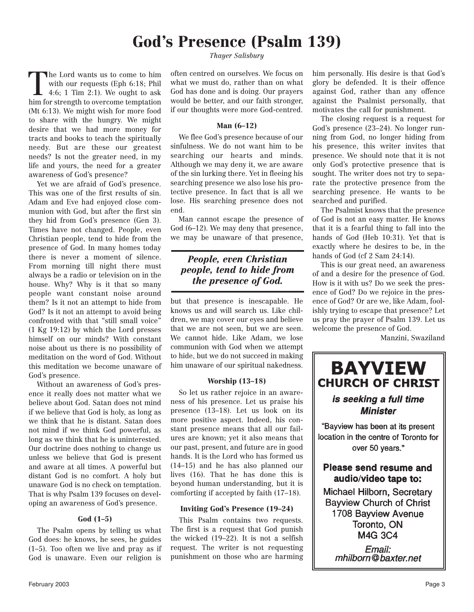## **God's Presence (Psalm 139)**

The Lord wants us to come to him<br>with our requests (Eph 6:18; Phil<br>4:6; 1 Tim 2:1). We ought to ask<br>him for strength to evergone temptation with our requests (Eph 6:18; Phil him for strength to overcome temptation (Mt 6:13). We might wish for more food to share with the hungry. We might desire that we had more money for tracts and books to teach the spiritually needy. But are these our greatest needs? Is not the greater need, in my life and yours, the need for a greater awareness of God's presence?

Yet we are afraid of God's presence. This was one of the first results of sin. Adam and Eve had enjoyed close communion with God, but after the first sin they hid from God's presence (Gen 3). Times have not changed. People, even Christian people, tend to hide from the presence of God. In many homes today there is never a moment of silence. From morning till night there must always be a radio or television on in the house. Why? Why is it that so many people want constant noise around them? Is it not an attempt to hide from God? Is it not an attempt to avoid being confronted with that "still small voice" (1 Kg 19:12) by which the Lord presses himself on our minds? With constant noise about us there is no possibility of meditation on the word of God. Without this meditation we become unaware of God's presence.

Without an awareness of God's presence it really does not matter what we believe about God. Satan does not mind if we believe that God is holy, as long as we think that he is distant. Satan does not mind if we think God powerful, as long as we think that he is uninterested. Our doctrine does nothing to change us unless we believe that God is present and aware at all times. A powerful but distant God is no comfort. A holy but unaware God is no check on temptation. That is why Psalm 139 focuses on developing an awareness of God's presence.

### **God (1–5)**

The Psalm opens by telling us what God does: he knows, he sees, he guides (1–5). Too often we live and pray as if God is unaware. Even our religion is

*Thayer Salisbury*

often centred on ourselves. We focus on what we must do, rather than on what God has done and is doing. Our prayers would be better, and our faith stronger, if our thoughts were more God-centred.

### **Man (6–12)**

We flee God's presence because of our sinfulness. We do not want him to be searching our hearts and minds. Although we may deny it, we are aware of the sin lurking there. Yet in fleeing his searching presence we also lose his protective presence. In fact that is all we lose. His searching presence does not end.

Man cannot escape the presence of God (6–12). We may deny that presence, we may be unaware of that presence,

### *People, even Christian people, tend to hide from the presence of God.*

but that presence is inescapable. He knows us and will search us. Like children, we may cover our eyes and believe that we are not seen, but we are seen. We cannot hide. Like Adam, we lose communion with God when we attempt to hide, but we do not succeed in making him unaware of our spiritual nakedness.

### **Worship (13–18)**

So let us rather rejoice in an awareness of his presence. Let us praise his presence (13–18). Let us look on its more positive aspect. Indeed, his constant presence means that all our failures are known; yet it also means that our past, present, and future are in good hands. It is the Lord who has formed us (14–15) and he has also planned our lives (16). That he has done this is beyond human understanding, but it is comforting if accepted by faith (17–18).

### **Inviting God's Presence (19–24)**

This Psalm contains two requests. The first is a request that God punish the wicked (19–22). It is not a selfish request. The writer is not requesting punishment on those who are harming him personally. His desire is that God's glory be defended. It is their offence against God, rather than any offence against the Psalmist personally, that motivates the call for punishment.

The closing request is a request for God's presence (23–24). No longer running from God, no longer hiding from his presence, this writer invites that presence. We should note that it is not only God's protective presence that is sought. The writer does not try to separate the protective presence from the searching presence. He wants to be searched and purified.

The Psalmist knows that the presence of God is not an easy matter. He knows that it is a fearful thing to fall into the hands of God (Heb 10:31). Yet that is exactly where he desires to be, in the hands of God (cf 2 Sam 24:14).

This is our great need, an awareness of and a desire for the presence of God. How is it with us? Do we seek the presence of God? Do we rejoice in the presence of God? Or are we, like Adam, foolishly trying to escape that presence? Let us pray the prayer of Psalm 139. Let us welcome the presence of God.

Manzini, Swaziland

## **BAYVIEW CHURCH OF CHRIST**

### is seeking a full time **Minister**

"Bayview has been at its present location in the centre of Toronto for over 50 years."

### **Please send resume and** audio/video tape to:

Michael Hilborn, Secretary **Bayview Church of Christ** 1708 Bayview Avenue Toronto, ON M4G 3C4

Email: mhilborn@baxter.net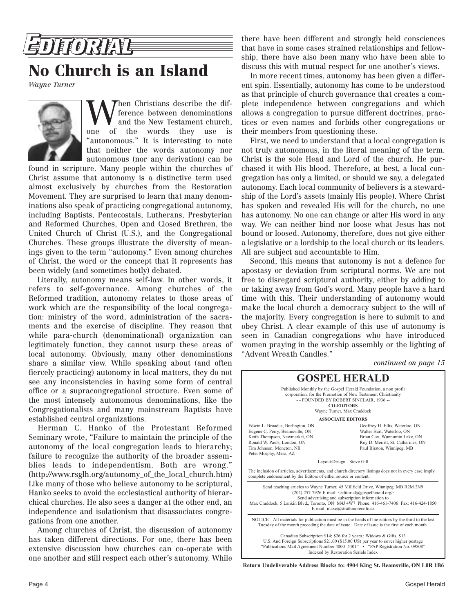

## **No Church is an Island**

*Wayne Turner*



When Christians describe the dif-<br>and the New Testament church,<br>and the words they use is ference between denominations and the New Testament church, one of the words they use is "autonomous." It is interesting to note that neither the words autonomy nor autonomous (nor any derivation) can be

found in scripture. Many people within the churches of Christ assume that autonomy is a distinctive term used almost exclusively by churches from the Restoration Movement. They are surprised to learn that many denominations also speak of practicing congregational autonomy, including Baptists, Pentecostals, Lutherans, Presbyterian and Reformed Churches, Open and Closed Brethren, the United Church of Christ (U.S.), and the Congregational Churches. These groups illustrate the diversity of meanings given to the term "autonomy." Even among churches of Christ, the word or the concept that it represents has been widely (and sometimes hotly) debated.

Literally, autonomy means self-law. In other words, it refers to self-governance. Among churches of the Reformed tradition, autonomy relates to those areas of work which are the responsibility of the local congregation: ministry of the word, administration of the sacraments and the exercise of discipline. They reason that while para-church (denominational) organization can legitimately function, they cannot usurp these areas of local autonomy. Obviously, many other denominations share a similar view. While speaking about (and often fiercely practicing) autonomy in local matters, they do not see any inconsistencies in having some form of central office or a supracongregational structure. Even some of the most intensely autonomous denominations, like the Congregationalists and many mainstream Baptists have established central organizations.

Herman C. Hanko of the Protestant Reformed Seminary wrote, "Failure to maintain the principle of the autonomy of the local congregation leads to hierarchy; failure to recognize the authority of the broader assemblies leads to independentism. Both are wrong." (http://www.rsglh.org/autonomy\_of\_the\_local\_church.htm) Like many of those who believe autonomy to be scriptural, Hanko seeks to avoid the ecclesiastical authority of hierarchical churches. He also sees a danger at the other end, an independence and isolationism that disassociates congregations from one another.

Among churches of Christ, the discussion of autonomy has taken different directions. For one, there has been extensive discussion how churches can co-operate with one another and still respect each other's autonomy. While

there have been different and strongly held consciences that have in some cases strained relationships and fellowship, there have also been many who have been able to discuss this with mutual respect for one another's views.

In more recent times, autonomy has been given a different spin. Essentially, autonomy has come to be understood as that principle of church governance that creates a complete independence between congregations and which allows a congregation to pursue different doctrines, practices or even names and forbids other congregations or their members from questioning these.

First, we need to understand that a local congregation is not truly autonomous, in the literal meaning of the term. Christ is the sole Head and Lord of the church. He purchased it with His blood. Therefore, at best, a local congregation has only a limited, or should we say, a delegated autonomy. Each local community of believers is a stewardship of the Lord's assets (mainly His people). Where Christ has spoken and revealed His will for the church, no one has autonomy. No one can change or alter His word in any way. We can neither bind nor loose what Jesus has not bound or loosed. Autonomy, therefore, does not give either a legislative or a lordship to the local church or its leaders. All are subject and accountable to Him.

Second, this means that autonomy is not a defence for apostasy or deviation from scriptural norms. We are not free to disregard scriptural authority, either by adding to or taking away from God's word. Many people have a hard time with this. Their understanding of autonomy would make the local church a democracy subject to the will of the majority. Every congregation is here to submit to and obey Christ. A clear example of this use of autonomy is seen in Canadian congregations who have introduced women praying in the worship assembly or the lighting of "Advent Wreath Candles."

*continued on page 15*



**Return Undeliverable Address Blocks to: 4904 King St. Beamsville, ON L0R 1B6**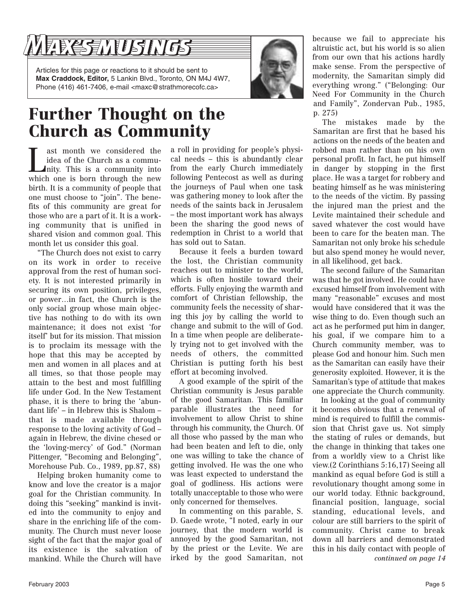# **ARESMUSINGS**

Articles for this page or reactions to it should be sent to **Max Craddock, Editor,** 5 Lankin Blvd., Toronto, ON M4J 4W7, Phone (416) 461-7406, e-mail <maxc@strathmorecofc.ca>

## **Further Thought on the Church as Community**

**Let us a** considered the idea of the Church as a community. This is a community into which and which are not the new set idea of the Church as a commuwhich one is born through the new birth. It is a community of people that one must choose to "join". The benefits of this community are great for those who are a part of it. It is a working community that is unified in shared vision and common goal. This month let us consider this goal.

"The Church does not exist to carry on its work in order to receive approval from the rest of human society. It is not interested primarily in securing its own position, privileges, or power…in fact, the Church is the only social group whose main objective has nothing to do with its own maintenance; it does not exist 'for itself' but for its mission. That mission is to proclaim its message with the hope that this may be accepted by men and women in all places and at all times, so that those people may attain to the best and most fulfilling life under God. In the New Testament phase, it is there to bring the 'abundant life' – in Hebrew this is Shalom – that is made available through response to the loving activity of God – again in Hebrew, the divine chesed or the 'loving-mercy' of God." (Norman Pittenger, "Becoming and Belonging", Morehouse Pub. Co., 1989, pp.87, 88)

Helping broken humanity come to know and love the creator is a major goal for the Christian community. In doing this "seeking" mankind is invited into the community to enjoy and share in the enriching life of the community. The Church must never loose sight of the fact that the major goal of its existence is the salvation of mankind. While the Church will have

a roll in providing for people's physical needs – this is abundantly clear from the early Church immediately following Pentecost as well as during the journeys of Paul when one task was gathering money to look after the needs of the saints back in Jerusalem – the most important work has always been the sharing the good news of redemption in Christ to a world that has sold out to Satan.

Because it feels a burden toward the lost, the Christian community reaches out to minister to the world, which is often hostile toward their efforts. Fully enjoying the warmth and comfort of Christian fellowship, the community feels the necessity of sharing this joy by calling the world to change and submit to the will of God. In a time when people are deliberately trying not to get involved with the needs of others, the committed Christian is putting forth his best effort at becoming involved.

A good example of the spirit of the Christian community is Jesus parable of the good Samaritan. This familiar parable illustrates the need for involvement to allow Christ to shine through his community, the Church. Of all those who passed by the man who had been beaten and left to die, only one was willing to take the chance of getting involved. He was the one who was least expected to understand the goal of godliness. His actions were totally unacceptable to those who were only concerned for themselves.

In commenting on this parable, S. D. Gaede wrote, "I noted, early in our journey, that the modern world is annoyed by the good Samaritan, not by the priest or the Levite. We are irked by the good Samaritan, not because we fail to appreciate his altruistic act, but his world is so alien from our own that his actions hardly make sense. From the perspective of modernity, the Samaritan simply did everything wrong." ("Belonging: Our Need For Community in the Church and Family", Zondervan Pub., 1985, p. 275)

The mistakes made by the Samaritan are first that he based his actions on the needs of the beaten and robbed man rather than on his own personal profit. In fact, he put himself in danger by stopping in the first place. He was a target for robbery and beating himself as he was ministering to the needs of the victim. By passing the injured man the priest and the Levite maintained their schedule and saved whatever the cost would have been to care for the beaten man. The Samaritan not only broke his schedule but also spend money he would never, in all likelihood, get back.

The second failure of the Samaritan was that he got involved. He could have excused himself from involvement with many "reasonable" excuses and most would have considered that it was the wise thing to do. Even though such an act as he performed put him in danger, his goal, if we compare him to a Church community member, was to please God and honour him. Such men as the Samaritan can easily have their generosity exploited. However, it is the Samaritan's type of attitude that makes one appreciate the Church community.

In looking at the goal of community it becomes obvious that a renewal of mind is required to fulfill the commission that Christ gave us. Not simply the stating of rules or demands, but the change in thinking that takes one from a worldly view to a Christ like view.(2 Corinthians 5:16,17) Seeing all mankind as equal before God is still a revolutionary thought among some in our world today. Ethnic background, financial position, language, social standing, educational levels, and colour are still barriers to the spirit of community. Christ came to break down all barriers and demonstrated this in his daily contact with people of *continued on page 14*

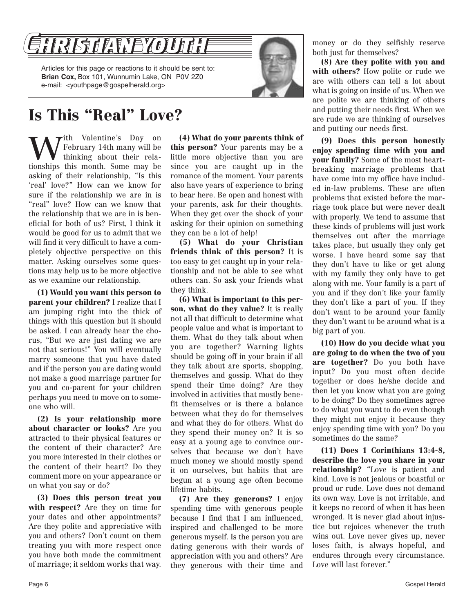

## **Is This "Real" Love?**

W<sup>ith Valentine's Day on</sup><br>thinking about their rela-<br>tionships this month Some may be February 14th many will be tionships this month. Some may be asking of their relationship, "Is this 'real' love?" How can we know for sure if the relationship we are in is "real" love? How can we know that the relationship that we are in is beneficial for both of us? First, I think it would be good for us to admit that we will find it very difficult to have a completely objective perspective on this matter. Asking ourselves some questions may help us to be more objective as we examine our relationship.

**(1) Would you want this person to parent your children?** I realize that I am jumping right into the thick of things with this question but it should be asked. I can already hear the chorus, "But we are just dating we are not that serious!" You will eventually marry someone that you have dated and if the person you are dating would not make a good marriage partner for you and co-parent for your children perhaps you need to move on to someone who will.

**(2) Is your relationship more about character or looks?** Are you attracted to their physical features or the content of their character? Are you more interested in their clothes or the content of their heart? Do they comment more on your appearance or on what you say or do?

**(3) Does this person treat you with respect?** Are they on time for your dates and other appointments? Are they polite and appreciative with you and others? Don't count on them treating you with more respect once you have both made the commitment of marriage; it seldom works that way.

**(4) What do your parents think of this person?** Your parents may be a little more objective than you are since you are caught up in the romance of the moment. Your parents also have years of experience to bring to bear here. Be open and honest with your parents, ask for their thoughts. When they get over the shock of your asking for their opinion on something they can be a lot of help!

**(5) What do your Christian friends think of this person?** It is too easy to get caught up in your relationship and not be able to see what others can. So ask your friends what they think.

**(6) What is important to this person, what do they value?** It is really not all that difficult to determine what people value and what is important to them. What do they talk about when you are together? Warning lights should be going off in your brain if all they talk about are sports, shopping, themselves and gossip. What do they spend their time doing? Are they involved in activities that mostly benefit themselves or is there a balance between what they do for themselves and what they do for others. What do they spend their money on? It is so easy at a young age to convince ourselves that because we don't have much money we should mostly spend it on ourselves, but habits that are begun at a young age often become lifetime habits.

**(7) Are they generous?** I enjoy spending time with generous people because I find that I am influenced, inspired and challenged to be more generous myself. Is the person you are dating generous with their words of appreciation with you and others? Are they generous with their time and

money or do they selfishly reserve both just for themselves?

**(8) Are they polite with you and with others?** How polite or rude we are with others can tell a lot about what is going on inside of us. When we are polite we are thinking of others and putting their needs first. When we are rude we are thinking of ourselves and putting our needs first.

**(9) Does this person honestly enjoy spending time with you and your family?** Some of the most heartbreaking marriage problems that have come into my office have included in-law problems. These are often problems that existed before the marriage took place but were never dealt with properly. We tend to assume that these kinds of problems will just work themselves out after the marriage takes place, but usually they only get worse. I have heard some say that they don't have to like or get along with my family they only have to get along with me. Your family is a part of you and if they don't like your family they don't like a part of you. If they don't want to be around your family they don't want to be around what is a big part of you.

**(10) How do you decide what you are going to do when the two of you are together?** Do you both have input? Do you most often decide together or does he/she decide and then let you know what you are going to be doing? Do they sometimes agree to do what you want to do even though they might not enjoy it because they enjoy spending time with you? Do you sometimes do the same?

**(11) Does 1 Corinthians 13:4-8, describe the love you share in your relationship?** "Love is patient and kind. Love is not jealous or boastful or proud or rude. Love does not demand its own way. Love is not irritable, and it keeps no record of when it has been wronged. It is never glad about injustice but rejoices whenever the truth wins out. Love never gives up, never loses faith, is always hopeful, and endures through every circumstance. Love will last forever."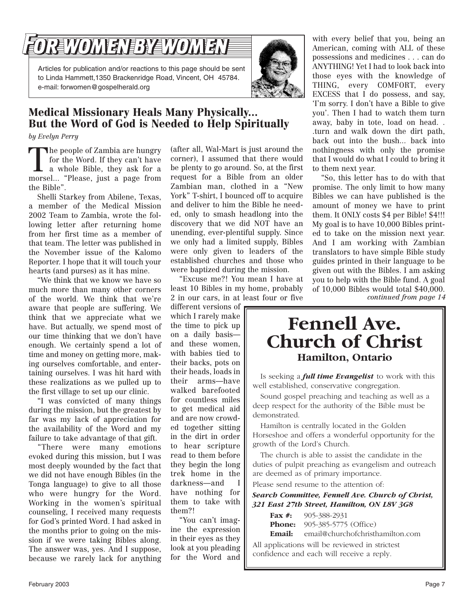# REWOMENEBYZWOMEN

Articles for publication and/or reactions to this page should be sent to Linda Hammett,1350 Brackenridge Road, Vincent, OH 45784. e-mail: forwomen@gospelherald.org



## **Medical Missionary Heals Many Physically... But the Word of God is Needed to Help Spiritually**

*by Evelyn Perry*

The people of Zambia are hungry<br>for the Word. If they can't have<br>a whole Bible, they ask for a<br>morsel "Please just a nage from for the Word. If they can't have morsel... "Please, just a page from the Bible".

Shelli Starkey from Abilene, Texas, a member of the Medical Mission 2002 Team to Zambia, wrote the following letter after returning home from her first time as a member of that team. The letter was published in the November issue of the Kalomo Reporter. I hope that it will touch your hearts (and purses) as it has mine.

"We think that we know we have so much more than many other corners of the world. We think that we're aware that people are suffering. We think that we appreciate what we have. But actually, we spend most of our time thinking that we don't have enough. We certainly spend a lot of time and money on getting more, making ourselves comfortable, and entertaining ourselves. I was hit hard with these realizations as we pulled up to the first village to set up our clinic.

"I was convicted of many things during the mission, but the greatest by far was my lack of appreciation for the availability of the Word and my failure to take advantage of that gift.

"There were many emotions evoked during this mission, but I was most deeply wounded by the fact that we did not have enough Bibles (in the Tonga language) to give to all those who were hungry for the Word. Working in the women's spiritual counseling, I received many requests for God's printed Word. I had asked in the months prior to going on the mission if we were taking Bibles along. The answer was, yes. And I suppose, because we rarely lack for anything (after all, Wal-Mart is just around the corner), I assumed that there would be plenty to go around. So, at the first request for a Bible from an older Zambian man, clothed in a "New York" T-shirt, I bounced off to acquire and deliver to him the Bible he needed, only to smash headlong into the discovery that we did NOT have an unending, ever-plentiful supply. Since we only had a limited supply, Bibles were only given to leaders of the established churches and those who were baptized during the mission.

"Excuse me?! You mean I have at least 10 Bibles in my home, probably 2 in our cars, in at least four or five

different versions of which I rarely make the time to pick up on a daily basis and these women, with babies tied to their backs, pots on their heads, loads in their arms—have walked barefooted for countless miles to get medical aid and are now crowded together sitting in the dirt in order to hear scripture read to them before they begin the long trek home in the darkness—and I have nothing for them to take with them?!

"You can't imagine the expression in their eyes as they look at you pleading for the Word and with every belief that you, being an American, coming with ALL of these possessions and medicines . . . can do ANYTHING! Yet I had to look back into those eyes with the knowledge of THING, every COMFORT, every EXCESS that I do possess, and say, 'I'm sorry. I don't have a Bible to give you'. Then I had to watch them turn away, baby in tote, load on head. . .turn and walk down the dirt path, back out into the bush... back into nothingness with only the promise that I would do what I could to bring it to them next year.

"So, this letter has to do with that promise. The only limit to how many Bibles we can have published is the amount of money we have to print them. It ONLY costs \$4 per Bible! \$4!!! My goal is to have 10,000 Bibles printed to take on the mission next year. And I am working with Zambian translators to have simple Bible study guides printed in their language to be given out with the Bibles. I am asking you to help with the Bible fund. A goal of 10,000 Bibles would total \$40,000. *continued from page 14*

## **Fennell Ave. Church of Christ Hamilton, Ontario**

Is seeking a *full time Evangelist* to work with this well established, conservative congregation.

Sound gospel preaching and teaching as well as a deep respect for the authority of the Bible must be demonstrated.

Hamilton is centrally located in the Golden Horseshoe and offers a wonderful opportunity for the growth of the Lord's Church.

The church is able to assist the candidate in the duties of pulpit preaching as evangelism and outreach are deemed as of primary importance.

Please send resume to the attention of:

*Search Committee, Fennell Ave. Church of Christ, 321 East 27th Street, Hamilton, ON L8V 3G8*

|                                                | <b>Fax #:</b> 905-388-2931                     |
|------------------------------------------------|------------------------------------------------|
|                                                | <b>Phone:</b> 905-385-5775 (Office)            |
|                                                | <b>Email:</b> email@churchofchristhamilton.com |
| All applications will be reviewed in strictest |                                                |

confidence and each will receive a reply.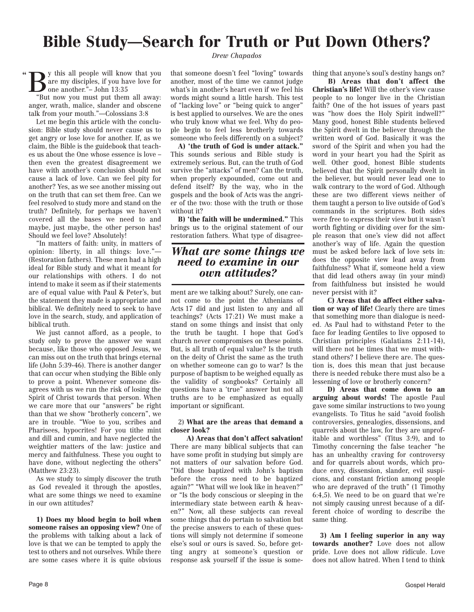## **Bible Study—Search for Truth or Put Down Others?**

 $\sum$  y this all people will know that you are my disciples, if you have love for one another."– John 13:35 "

"But now you must put them all away: anger, wrath, malice, slander and obscene talk from your mouth."—Colossians 3:8

Let me begin this article with the conclusion: Bible study should never cause us to get angry or lose love for another. If, as we claim, the Bible is the guidebook that teaches us about the One whose essence is love – then even the greatest disagreement we have with another's conclusion should not cause a lack of love. Can we feel pity for another? Yes, as we see another missing out on the truth that can set them free. Can we feel resolved to study more and stand on the truth? Definitely, for perhaps we haven't covered all the bases we need to and maybe, just maybe, the other person has! Should we feel love? Absolutely!

"In matters of faith: unity, in matters of opinion: liberty, in all things: love."— (Restoration fathers). These men had a high ideal for Bible study and what it meant for our relationships with others. I do not intend to make it seem as if their statements are of equal value with Paul & Peter's, but the statement they made is appropriate and biblical. We definitely need to seek to have love in the search, study, and application of biblical truth.

We just cannot afford, as a people, to study only to prove the answer we want because, like those who opposed Jesus, we can miss out on the truth that brings eternal life (John 5:39-46). There is another danger that can occur when studying the Bible only to prove a point. Whenever someone disagrees with us we run the risk of losing the Spirit of Christ towards that person. When we care more that our "answers" be right than that we show "brotherly concern", we are in trouble. "Woe to you, scribes and Pharisees, hypocrites! For you tithe mint and dill and cumin, and have neglected the weightier matters of the law: justice and mercy and faithfulness. These you ought to have done, without neglecting the others" (Matthew 23:23).

As we study to simply discover the truth as God revealed it through the apostles, what are some things we need to examine in our own attitudes?

**1) Does my blood begin to boil when someone raises an opposing view?** One of the problems with talking about a lack of love is that we can be tempted to apply the test to others and not ourselves. While there are some cases where it is quite obvious

*Drew Chapados*

that someone doesn't feel "loving" towards another, most of the time we cannot judge what's in another's heart even if we feel his words might sound a little harsh. This test of "lacking love" or "being quick to anger" is best applied to ourselves. We are the ones who truly know what we feel. Why do people begin to feel less brotherly towards someone who feels differently on a subject?

**A) 'the truth of God is under attack."** This sounds serious and Bible study is extremely serious. But, can the truth of God survive the "attacks" of men? Can the truth, when properly expounded, come out and defend itself? By the way, who in the gospels and the book of Acts was the angrier of the two: those with the truth or those without it?

**B) 'the faith will be undermined."** This brings us to the original statement of our restoration fathers. What type of disagree-

### *What are some things we need to examine in our own attitudes?*

ment are we talking about? Surely, one cannot come to the point the Athenians of Acts 17 did and just listen to any and all teachings? (Acts 17:21) We must make a stand on some things and insist that only the truth be taught. I hope that God's church never compromises on these points. But, is all truth of equal value? Is the truth on the deity of Christ the same as the truth on whether someone can go to war? Is the purpose of baptism to be weighed equally as the validity of songbooks? Certainly all questions have a 'true" answer but not all truths are to be emphasized as equally important or significant.

### 2) **What are the areas that demand a closer look?**

**A) Areas that don't affect salvation!** There are many biblical subjects that can have some profit in studying but simply are not matters of our salvation before God. "Did those baptized with John's baptism before the cross need to be baptized again?" "What will we look like in heaven?" or "Is the body conscious or sleeping in the intermediary state between earth & heaven?" Now, all these subjects can reveal some things that do pertain to salvation but the precise answers to each of these questions will simply not determine if someone else's soul or ours is saved. So, before getting angry at someone's question or response ask yourself if the issue is something that anyone's soul's destiny hangs on?

**B) Areas that don't affect the Christian's life!** Will the other's view cause people to no longer live in the Christian faith? One of the hot issues of years past was "how does the Holy Spirit indwell?" Many good, honest Bible students believed the Spirit dwelt in the believer through the written word of God. Basically it was the sword of the Spirit and when you had the word in your heart you had the Spirit as well. Other good, honest Bible students believed that the Spirit personally dwelt in the believer, but would never lead one to walk contrary to the word of God. Although these are two different views neither of them taught a person to live outside of God's commands in the scriptures. Both sides were free to express their view but it wasn't worth fighting or dividing over for the simple reason that one's view did not affect another's way of life. Again the question must be asked before lack of love sets in: does the opposite view lead away from faithfulness? What if, someone held a view that did lead others away (in your mind) from faithfulness but insisted he would never persist with it?

**C) Areas that do affect either salvation or way of life!** Clearly there are times that something more than dialogue is needed. As Paul had to withstand Peter to the face for leading Gentiles to live opposed to Christian principles (Galatians 2:11-14), will there not be times that we must withstand others? I believe there are. The question is, does this mean that just because there is needed rebuke there must also be a lessening of love or brotherly concern?

**D) Areas that come down to an arguing about words!** The apostle Paul gave some similar instructions to two young evangelists. To Titus he said "avoid foolish controversies, genealogies, dissensions, and quarrels about the law, for they are unprofitable and worthless" (Titus 3:9), and to Timothy concerning the false teacher "he has an unhealthy craving for controversy and for quarrels about words, which produce envy, dissension, slander, evil suspicions, and constant friction among people who are depraved of the truth" (1 Timothy 6:4,5). We need to be on guard that we're not simply causing unrest because of a different choice of wording to describe the same thing.

**3) Am I feeling superior in any way towards another?** Love does not allow pride. Love does not allow ridicule. Love does not allow hatred. When I tend to think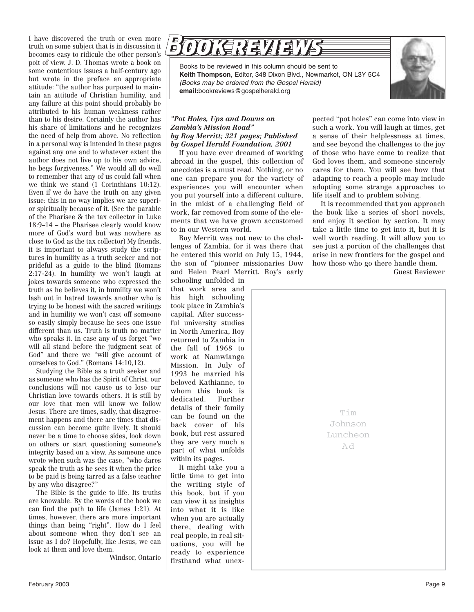I have discovered the truth or even more truth on some subject that is in discussion it becomes easy to ridicule the other person's poit of view. J. D. Thomas wrote a book on some contentious issues a half-century ago but wrote in the preface an appropriate attitude: "the author has purposed to maintain an attitude of Christian humility, and any failure at this point should probably be attributed to his human weakness rather than to his desire. Certainly the author has his share of limitations and he recognizes the need of help from above. No reflection in a personal way is intended in these pages against any one and to whatever extent the author does not live up to his own advice, he begs forgiveness." We would all do well to remember that any of us could fall when we think we stand (1 Corinthians 10:12). Even if we do have the truth on any given issue: this in no way implies we are superior spiritually because of it. (See the parable of the Pharisee & the tax collector in Luke 18:9–14 – the Pharisee clearly would know more of God's word but was nowhere as close to God as the tax collector) My friends, it is important to always study the scriptures in humility as a truth seeker and not prideful as a guide to the blind (Romans 2:17-24). In humility we won't laugh at jokes towards someone who expressed the truth as he believes it, in humility we won't lash out in hatred towards another who is trying to be honest with the sacred writings and in humility we won't cast off someone so easily simply because he sees one issue different than us. Truth is truth no matter who speaks it. In case any of us forget "we will all stand before the judgment seat of God" and there we "will give account of ourselves to God." (Romans 14:10,12).

Studying the Bible as a truth seeker and as someone who has the Spirit of Christ, our conclusions will not cause us to lose our Christian love towards others. It is still by our love that men will know we follow Jesus. There are times, sadly, that disagreement happens and there are times that discussion can become quite lively. It should never be a time to choose sides, look down on others or start questioning someone's integrity based on a view. As someone once wrote when such was the case, "who dares speak the truth as he sees it when the price to be paid is being tarred as a false teacher by any who disagree?"

The Bible is the guide to life. Its truths are knowable. By the words of the book we can find the path to life (James 1:21). At times, however, there are more important things than being "right". How do I feel about someone when they don't see an issue as I do? Hopefully, like Jesus, we can look at them and love them.

Windsor, Ontario



Books to be reviewed in this column should be sent to **Keith Thompson**, Editor, 348 Dixon Blvd., Newmarket, ON L3Y 5C4 *(Books may be ordered from the Gospel Herald)* **email:**bookreviews@gospelherald.org



### *"Pot Holes, Ups and Downs on Zambia's Mission Road" by Roy Merritt; 321 pages; Published by Gospel Herald Foundation, 2001*

If you have ever dreamed of working abroad in the gospel, this collection of anecdotes is a must read. Nothing, or no one can prepare you for the variety of experiences you will encounter when you put yourself into a different culture, in the midst of a challenging field of work, far removed from some of the elements that we have grown accustomed to in our Western world.

Roy Merritt was not new to the challenges of Zambia, for it was there that he entered this world on July 15, 1944, the son of "pioneer missionaries Dow and Helen Pearl Merritt. Roy's early

schooling unfolded in that work area and his high schooling took place in Zambia's capital. After successful university studies in North America, Roy returned to Zambia in the fall of 1968 to work at Namwianga Mission. In July of 1993 he married his beloved Kathianne, to whom this book is dedicated. Further details of their family can be found on the back cover of his book, but rest assured they are very much a part of what unfolds within its pages.

It might take you a little time to get into the writing style of this book, but if you can view it as insights into what it is like when you are actually there, dealing with real people, in real situations, you will be ready to experience firsthand what unexpected "pot holes" can come into view in such a work. You will laugh at times, get a sense of their helplessness at times, and see beyond the challenges to the joy of those who have come to realize that God loves them, and someone sincerely cares for them. You will see how that adapting to reach a people may include adopting some strange approaches to life itself and to problem solving.

It is recommended that you approach the book like a series of short novels, and enjoy it section by section. It may take a little time to get into it, but it is well worth reading. It will allow you to see just a portion of the challenges that arise in new frontiers for the gospel and how those who go there handle them.

Guest Reviewer

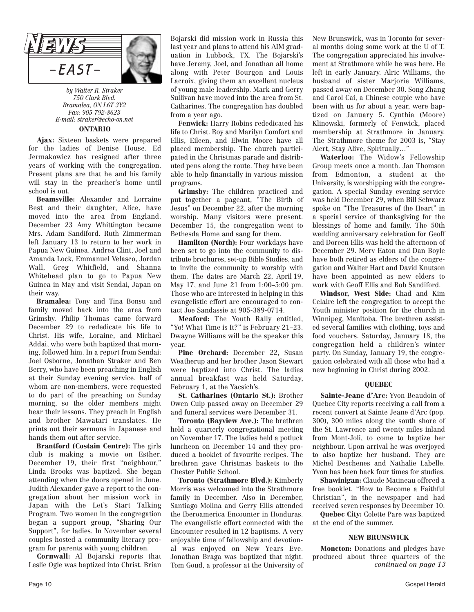

*by Walter R. Straker 750 Clark Blvd. Bramalea, ON L6T 3Y2 Fax: 905 792-8623 E-mail: straker@echo-on.net*

### **ONTARIO**

**Ajax:** Sixteen baskets were prepared for the ladies of Denise House. Ed Jermakowicz has resigned after three years of working with the congregation. Present plans are that he and his family will stay in the preacher's home until school is out.

**Beamsville:** Alexander and Lorraine Best and their daughter, Alice, have moved into the area from England. December 23 Amy Whittington became Mrs. Adam Sandiford. Ruth Zimmerman left January 13 to return to her work in Papua New Guinea. Andrea Clint, Joel and Amanda Lock, Emmanuel Velasco, Jordan Wall, Greg Whitfield, and Shanna Whitehead plan to go to Papua New Guinea in May and visit Sendai, Japan on their way.

**Bramalea:** Tony and Tina Bonsu and family moved back into the area from Grimsby. Philip Thomas came forward December 29 to rededicate his life to Christ. His wife, Loraine, and Michael Addai, who were both baptized that morning, followed him. In a report from Sendai: Joel Osborne, Jonathan Straker and Ben Berry, who have been preaching in English at their Sunday evening service, half of whom are non-members, were requested to do part of the preaching on Sunday morning, so the older members might hear their lessons. They preach in English and brother Mawatari translates. He prints out their sermons in Japanese and hands them out after service.

**Brantford (Costain Centre):** The girls club is making a movie on Esther. December 19, their first "neighbour," Linda Brooks was baptized. She began attending when the doors opened in June. Judith Alexander gave a report to the congregation about her mission work in Japan with the Let's Start Talking Program. Two women in the congregation began a support group, "Sharing Our Support", for ladies. In November several couples hosted a community literacy program for parents with young children.

**Cornwall:** Al Bojarski reports that Leslie Ogle was baptized into Christ. Brian Bojarski did mission work in Russia this last year and plans to attend his AIM graduation in Lubbock, TX. The Bojarski's have Jeremy, Joel, and Jonathan all home along with Peter Bourgon and Louis Lacroix, giving them an excellent nucleus of young male leadership. Mark and Gerry Sullivan have moved into the area from St. Catharines. The congregation has doubled from a year ago.

**Fenwick:** Harry Robins rededicated his life to Christ. Roy and Marilyn Comfort and Ellis, Eileen, and Elwin Moore have all placed membership. The church participated in the Christmas parade and distributed pens along the route. They have been able to help financially in various mission programs.

**Grimsby:** The children practiced and put together a pageant, "The Birth of Jesus" on December 22, after the morning worship. Many visitors were present. December 15, the congregation went to Bethesda Home and sang for them.

**Hamilton (North):** Four workdays have been set to go into the community to distribute brochures, set-up Bible Studies, and to invite the community to worship with them. The dates are March 22, April 19, May 17, and June 21 from 1:00–5:00 pm. Those who are interested in helping in this evangelistic effort are encouraged to contact Joe Sandassie at 905-389-0714.

**Meaford:** The Youth Rally entitled, "Yo! What Time is It?" is February 21–23. Dwayne Williams will be the speaker this year.

**Pine Orchard:** December 22, Susan Weatherup and her brother Jason Stewart were baptized into Christ. The ladies annual breakfast was held Saturday, February 1, at the Yacsich's.

**St. Catharines (Ontario St.):** Brother Owen Culp passed away on December 29 and funeral services were December 31.

**Toronto (Bayview Ave.):** The brethren held a quarterly congregational meeting on November 17. The ladies held a potluck luncheon on December 14 and they produced a booklet of favourite recipes. The brethren gave Christmas baskets to the Chester Public School.

**Toronto (Strathmore Blvd.):** Kimberly Morris was welcomed into the Strathmore family in December. Also in December, Santiago Molina and Gerry Ellis attended the Iberoamerica Encounter in Honduras. The evangelistic effort connected with the Encounter resulted in 12 baptisms. A very enjoyable time of fellowship and devotional was enjoyed on New Years Eve. Jonathan Braga was baptized that night. Tom Goud, a professor at the University of

New Brunswick, was in Toronto for several months doing some work at the U of T. The congregation appreciated his involvement at Strathmore while he was here. He left in early January. Alric Williams, the husband of sister Marjorie Williams, passed away on December 30. Song Zhang and Carol Cai, a Chinese couple who have been with us for about a year, were baptized on January 5. Cynthia (Moore) Klinowski, formerly of Fenwick, placed membership at Strathmore in January. The Strathmore theme for 2003 is, "Stay Alert, Stay Alive, Spiritually…"

**Waterloo:** The Widow's Fellowship Group meets once a month. Jan Thomson from Edmonton, a student at the University, is worshipping with the congregation. A special Sunday evening service was held December 29, when Bill Schwarz spoke on "The Treasures of the Heart" in a special service of thanksgiving for the blessings of home and family. The 50th wedding anniversary celebration for Geoff and Doreen Ellis was held the afternoon of December 29. Merv Eaton and Dan Boyle have both retired as elders of the congregation and Walter Hart and David Knutson have been appointed as new elders to work with Geoff Ellis and Bob Sandiford.

**Windsor, West Side:** Chad and Kim Celaire left the congregation to accept the Youth minister position for the church in Winnipeg, Manitoba. The brethren assisted several families with clothing, toys and food vouchers. Saturday, January 18, the congregation held a children's winter party. On Sunday, January 19, the congregation celebrated with all those who had a new beginning in Christ during 2002.

### **QUEBEC**

**Sainte-Jeane d'Arc:** Yvon Beaudoin of Quebec City reports receiving a call from a recent convert at Sainte Jeane d'Arc (pop. 300), 300 miles along the south shore of the St. Lawrence and twenty miles inland from Mont-Joli, to come to baptize her neighbour. Upon arrival he was overjoyed to also baptize her husband. They are Michel Deschenes and Nathalie Labelle. Yvon has been back four times for studies.

**Shawinigan:** Claude Matineau offered a free booklet, "How to Become a Faithful Christian", in the newspaper and had received seven responses by December 10.

**Quebec City:** Colette Pare was baptized at the end of the summer.

### **NEW BRUNSWICK**

**Moncton:** Donations and pledges have produced about three quarters of the *continued on page 13*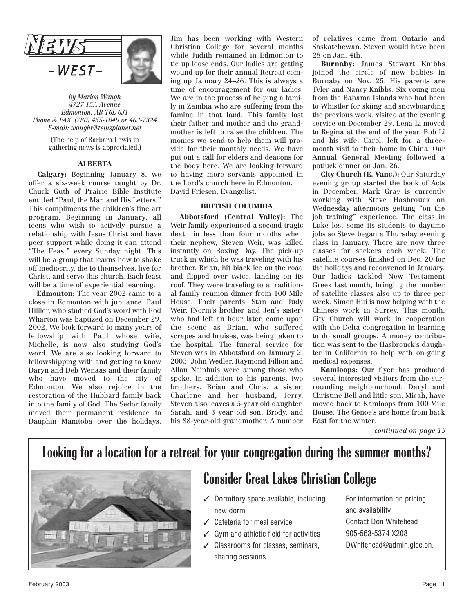

*by Marion Waugh 4727 15A Avenue Edmonton, AB T6L 6J1 Phone & FAX: (780) 455-1049 or 463-7324 E-mail: waughr@telusplanet.net*

> (The help of Barbara Lewis in gathering news is appreciated.)

### **ALBERTA**

**Calgary:** Beginning January 8, we offer a six-week course taught by Dr. Chuck Guth of Prairie Bible Institute entitled "Paul, the Man and His Letters." This compliments the children's fine art program. Beginning in January, all teens who wish to actively pursue a relationship with Jesus Christ and have peer support while doing it can attend "The Feast" every Sunday night. This will be a group that learns how to shake off mediocrity, die to themselves, live for Christ, and serve this church. Each feast will be a time of experiential learning.

**Edmonton:** The year 2002 came to a close in Edmonton with jubilance. Paul Hillier, who studied God's word with Rod Wharton was baptized on December 29, 2002. We look forward to many years of fellowship with Paul whose wife, Michelle, is now also studying God's word. We are also looking forward to fellowshipping with and getting to know Daryn and Deb Wenaas and their family who have moved to the city of Edmonton. We also rejoice in the restoration of the Hubbard family back into the family of God. The Sedor family moved their permanent residence to Dauphin Manitoba over the holidays.

Jim has been working with Western Christian College for several months while Judith remained in Edmonton to tie up loose ends. Our ladies are getting wound up for their annual Retreat coming up January 24–26. This is always a time of encouragement for our ladies. We are in the process of helping a family in Zambia who are suffering from the famine in that land. This family lost their father and mother and the grandmother is left to raise the children. The monies we send to help them will provide for their monthly needs. We have put out a call for elders and deacons for the body here. We are looking forward to having more servants appointed in the Lord's church here in Edmonton. David Friesen, Evangelist.

### **BRITISH COLUMBIA**

**Abbotsford (Central Valley):** The Weir family experienced a second tragic death in less than four months when their nephew, Steven Weir, was killed instantly on Boxing Day. The pick-up truck in which he was traveling with his brother, Brian, hit black ice on the road and flipped over twice, landing on its roof. They were traveling to a traditional family reunion dinner from 100 Mile House. Their parents, Stan and Judy Weir, (Norm's brother and Jen's sister) who had left an hour later, came upon the scene as Brian, who suffered scrapes and bruises, was being taken to the hospital. The funeral service for Steven was in Abbotsford on January 2, 2003. John Wedler, Raymond Fillion and Allan Neinhuis were among those who spoke. In addition to his parents, two brothers, Brian and Chris, a sister, Charlene and her husband, Jerry, Steven also leaves a 5-year old daughter, Sarah, and 3 year old son, Brody, and his 88-year-old grandmother. A number

of relatives came from Ontario and Saskatchewan. Steven would have been 28 on Jan. 4th.

**Burnaby:** James Stewart Knibbs joined the circle of new babies in Burnaby on Nov. 25. His parents are Tyler and Nancy Knibbs. Six young men from the Bahama Islands who had been to Whistler for skiing and snowboarding the previous week, visited at the evening service on December 29. Lena Li moved to Regina at the end of the year. Bob Li and his wife, Carol, left for a threemonth visit to their home in China. Our Annual General Meeting followed a potluck dinner on Jan. 26.

**City Church (E. Vanc.):** Our Saturday evening group started the book of Acts in December. Mark Gray is currently working with Steve Hasbrouck on Wednesday afternoons getting "on the job training" experience. The class in Luke lost some its students to daytime jobs so Steve began a Thursday evening class in January. There are now three classes for seekers each week. The satellite courses finished on Dec. 20 for the holidays and reconvened in January. Our ladies tackled New Testament Greek last month, bringing the number of satellite classes also up to three per week. Simon Hui is now helping with the Chinese work in Surrey. This month, City Church will work in cooperation with the Delta congregation in learning to do small groups. A money contribution was sent to the Hasbrouck's daughter in California to help with on-going medical expenses.

**Kamloops:** Our flyer has produced several interested visitors from the surrounding neighbourhood. Daryl and Christine Bell and little son, Micah, have moved back to Kamloops from 100 Mile House. The Genoe's are home from back East for the winter.

*continued on page 13*

## **Looking for a location for a retreat for your congregation during the summer months?**



## **Consider Great Lakes Christian College**

- ✓ Dormitory space available, including new dorm
- ✓ Cafeteria for meal service
- ✓ Gym and athletic field for activities
- ✓ Classrooms for classes, seminars, sharing sessions

For information on pricing and availability Contact Don Whitehead 905-563-5374 X208 DWhitehead@admin.glcc.on.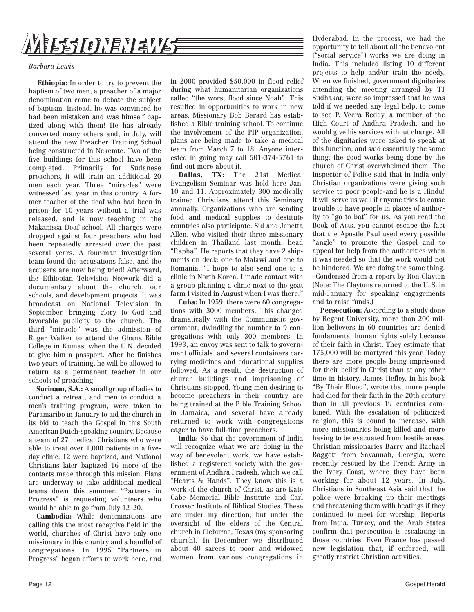

### *Barbara Lewis*

**Ethiopia:** In order to try to prevent the baptism of two men, a preacher of a major denomination came to debate the subject of baptism. Instead, he was convinced he had been mistaken and was himself baptized along with them! He has already converted many others and, in July, will attend the new Preacher Training School being constructed in Nekemte. Two of the five buildings for this school have been completed. Primarily for Sudanese preachers, it will train an additional 20 men each year. Three "miracles" were witnessed last year in this country. A former teacher of the deaf who had been in prison for 10 years without a trial was released, and is now teaching in the Makanissa Deaf school. All charges were dropped against four preachers who had been repeatedly arrested over the past several years. A four-man investigation team found the accusations false, and the accusers are now being tried! Afterward, the Ethiopian Television Network did a documentary about the church, our schools, and development projects. It was broadcast on National Television in September, bringing glory to God and favorable publicity to the church. The third "miracle" was the admission of Roger Walker to attend the Ghana Bible College in Kumasi when the U.N. decided to give him a passport. After he finishes two years of training, he will be allowed to return as a permanent teacher in our schools of preaching.

**Surinam, S.A.:** A small group of ladies to conduct a retreat, and men to conduct a men's training program, were taken to Paramaribo in January to aid the church in its bid to teach the Gospel in this South American Dutch-speaking country. Because a team of 27 medical Christians who were able to treat over 1,000 patients in a fiveday clinic, 12 were baptized, and National Christians later baptized 16 more of the contacts made through this mission. Plans are underway to take additional medical teams down this summer. "Partners in Progress" is requesting volunteers who would be able to go from July 12–20.

**Cambodia:** While denominations are calling this the most receptive field in the world, churches of Christ have only one missionary in this country and a handful of congregations. In 1995 "Partners in Progress" began efforts to work here, and

areas. Missionary Bob Berard has established a Bible training school. To continue the involvement of the PIP organization, plans are being made to take a medical team from March 7 to 18. Anyone interested in going may call 501-374-5761 to find out more about it. **Dallas, TX:** The 21st Medical Evangelism Seminar was held here Jan. 10 and 11. Approximately 300 medically

trained Christians attend this Seminary annually. Organizations who are sending food and medical supplies to destitute countries also participate. Sid and Jenetta Allen, who visited their three missionary children in Thailand last month, head "Rapha". He reports that they have 2 shipments on deck: one to Malawi and one to Romania. "I hope to also send one to a clinic in North Korea. I made contact with a group planning a clinic next to the goat farm I visited in August when I was there."

in 2000 provided \$50,000 in flood relief during what humanitarian organizations called "the worst flood since Noah". This resulted in opportunities to work in new

**Cuba:** In 1959, there were 60 congregations with 3000 members. This changed dramatically with the Communistic government, dwindling the number to 9 congregations with only 300 members. In 1993, an envoy was sent to talk to government officials, and several containers carrying medicines and educational supplies followed. As a result, the destruction of church buildings and imprisoning of Christians stopped. Young men desiring to become preachers in their country are being trained at the Bible Training School in Jamaica, and several have already returned to work with congregations eager to have full-time preachers.

**India:** So that the government of India will recognize what we are doing in the way of benevolent work, we have established a registered society with the government of Andhra Pradesh, which we call "Hearts & Hands". They know this is a work of the church of Christ, as are Kate Cabe Memorial Bible Institute and Carl Crosser Institute of Biblical Studies. These are under my direction, but under the oversight of the elders of the Central church in Cleburne, Texas (my sponsoring church). In December we distributed about 40 sarees to poor and widowed women from various congregations in

Hyderabad. In the process, we had the opportunity to tell about all the benevolent ("social service") works we are doing in India. This included listing 10 different projects to help and/or train the needy. When we finished, government dignitaries attending the meeting arranged by TJ Sudhakar, were so impressed that he was told if we needed any legal help, to come to see P. Veera Reddy, a member of the High Court of Andhra Pradesh, and he would give his services without charge. All of the dignitaries were asked to speak at this function, and said essentially the same thing: the good works being done by the church of Christ overwhelmed them. The Inspector of Police said that in India only Christian organizations were giving such service to poor people-and he is a Hindu! It will serve us well if anyone tries to cause trouble to have people in places of authority to "go to bat" for us. As you read the Book of Acts, you cannot escape the fact that the Apostle Paul used every possible "angle" to promote the Gospel and to appeal for help from the authorities when it was needed so that the work would not be hindered. We are doing the same thing. –Condensed from a report by Ron Clayton (Note: The Claytons returned to the U. S. in mid-January for speaking engagements and to raise funds.)

**Persecution:** According to a study done by Regent University, more than 200 million believers in 60 countries are denied fundamental human rights solely because of their faith in Christ. They estimate that 175,000 will be martyred this year. Today there are more people being imprisoned for their belief in Christ than at any other time in history. James Hefley, in his book "By Their Blood", wrote that more people had died for their faith in the 20th century than in all previous 19 centuries combined. With the escalation of politicized religion, this is bound to increase, with more missionaries being killed and more having to be evacuated from hostile areas. Christian missionaries Barry and Rachael Baggott from Savannah, Georgia, were recently rescued by the French Army in the Ivory Coast, where they have been working for about 12 years. In July, Christians in Southeast Asia said that the police were breaking up their meetings and threatening them with beatings if they continued to meet for worship. Reports from India, Turkey, and the Arab States confirm that persecution is escalating in those countries. Even France has passed new legislation that, if enforced, will greatly restrict Christian activities.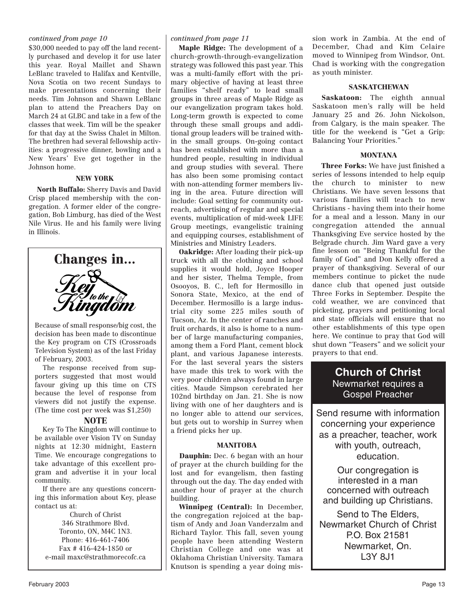### *continued from page 10 continued from page 11*

\$30,000 needed to pay off the land recently purchased and develop it for use later this year. Royal Maillet and Shawn LeBlanc traveled to Halifax and Kentville, Nova Scotia on two recent Sundays to make presentations concerning their needs. Tim Johnson and Shawn LeBlanc plan to attend the Preachers Day on March 24 at GLBC and take in a few of the classes that week. Tim will be the speaker for that day at the Swiss Chalet in Milton. The brethren had several fellowship activities: a progressive dinner, bowling and a New Years' Eve get together in the Johnson home.

### **NEW YORK**

**North Buffalo:** Sherry Davis and David Crisp placed membership with the congregation. A former elder of the congregation, Bob Limburg, has died of the West Nile Virus. He and his family were living in Illinois.



Because of small response/big cost, the decision has been made to discontinue the Key program on CTS (Crossroads Television System) as of the last Friday of February, 2003.

The response received from supporters suggested that most would favour giving up this time on CTS because the level of response from viewers did not justify the expense. (The time cost per week was \$1,250)

### **NOTE**

Key To The Kingdom will continue to be available over Vision TV on Sunday nights at 12:30 midnight, Eastern Time. We encourage congregations to take advantage of this excellent program and advertise it in your local community.

If there are any questions concerning this information about Key, please contact us at:

Church of Christ 346 Strathmore Blvd. Toronto, ON, M4C 1N3. Phone: 416-461-7406 Fax # 416-424-1850 or e-mail maxc@strathmorecofc.ca

**Maple Ridge:** The development of a church-growth-through-evangelization strategy was followed this past year. This was a multi-family effort with the primary objective of having at least three families "shelf ready" to lead small groups in three areas of Maple Ridge as our evangelization program takes hold. Long-term growth is expected to come through these small groups and additional group leaders will be trained within the small groups. On-going contact has been established with more than a hundred people, resulting in individual and group studies with several. There has also been some promising contact with non-attending former members living in the area. Future direction will include: Goal setting for community outreach, advertising of regular and special events, multiplication of mid-week LIFE Group meetings, evangelistic training and equipping courses, establishment of Ministries and Ministry Leaders.

**Oakridge:** After loading their pick-up truck with all the clothing and school supplies it would hold, Joyce Hooper and her sister, Thelma Temple, from Osooyos, B. C., left for Hermosillo in Sonora State, Mexico, at the end of December. Hermosillo is a large industrial city some 225 miles south of Tucson, Az. In the center of ranches and fruit orchards, it also is home to a number of large manufacturing companies, among them a Ford Plant, cement block plant, and various Japanese interests. For the last several years the sisters have made this trek to work with the very poor children always found in large cities. Maude Simpson cerebrated her 102nd birthday on Jan. 21. She is now living with one of her daughters and is no longer able to attend our services, but gets out to worship in Surrey when a friend picks her up.

### **MANITOBA**

**Dauphin:** Dec. 6 began with an hour of prayer at the church building for the lost and for evangelism, then fasting through out the day. The day ended with another hour of prayer at the church building.

**Winnipeg (Central):** In December, the congregation rejoiced at the baptism of Andy and Joan Vanderzalm and Richard Taylor. This fall, seven young people have been attending Western Christian College and one was at Oklahoma Christian University. Tamara Knutson is spending a year doing mission work in Zambia. At the end of December, Chad and Kim Celaire moved to Winnipeg from Windsor, Ont. Chad is working with the congregation as youth minister.

### **SASKATCHEWAN**

**Saskatoon:** The eighth annual Saskatoon men's rally will be held January 25 and 26. John Nickolson, from Calgary, is the main speaker. The title for the weekend is "Get a Grip: Balancing Your Priorities."

### **MONTANA**

**Three Forks:** We have just finished a series of lessons intended to help equip the church to minister to new Christians. We have seven lessons that various families will teach to new Christians - having them into their home for a meal and a lesson. Many in our congregation attended the annual Thanksgiving Eve service hosted by the Belgrade church. Jim Ward gave a very fine lesson on "Being Thankful for the family of God" and Don Kelly offered a prayer of thanksgiving. Several of our members continue to picket the nude dance club that opened just outside Three Forks in September. Despite the cold weather, we are convinced that picketing, prayers and petitioning local and state officials will ensure that no other establishments of this type open here. We continue to pray that God will shut down "Teasers" and we solicit your prayers to that end.

### **Church of Christ** Newmarket requires a Gospel Preacher

Send resume with information concerning your experience as a preacher, teacher, work with youth, outreach, education.

Our congregation is interested in a man concerned with outreach and building up Christians.

Send to The Elders, Newmarket Church of Christ P.O. Box 21581 Newmarket, On. L3Y 8J1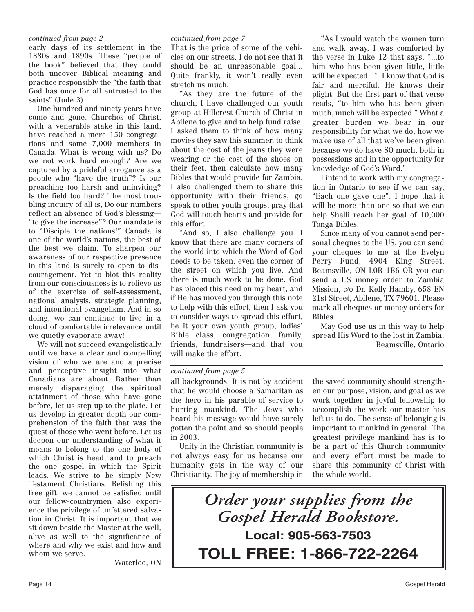### *continued from page 2*

early days of its settlement in the 1880s and 1890s. These "people of the book" believed that they could both uncover Biblical meaning and practice responsibly the "the faith that God has once for all entrusted to the saints" (Jude 3).

One hundred and ninety years have come and gone. Churches of Christ, with a venerable stake in this land, have reached a mere 150 congregations and some 7,000 members in Canada. What is wrong with us? Do we not work hard enough? Are we captured by a prideful arrogance as a people who "have the truth"? Is our preaching too harsh and uninviting? Is the field too hard? The most troubling inquiry of all is, Do our numbers reflect an absence of God's blessing— "to give the increase"? Our mandate is to "Disciple the nations!" Canada is one of the world's nations, the best of the best we claim. To sharpen our awareness of our respective presence in this land is surely to open to discouragement. Yet to blot this reality from our consciousness is to relieve us of the exercise of self-assessment, national analysis, strategic planning, and intentional evangelism. And in so doing, we can continue to live in a cloud of comfortable irrelevance until we quietly evaporate away!

We will not succeed evangelistically until we have a clear and compelling vision of who we are and a precise and perceptive insight into what Canadians are about. Rather than merely disparaging the spiritual attainment of those who have gone before, let us step up to the plate. Let us develop in greater depth our comprehension of the faith that was the quest of those who went before. Let us deepen our understanding of what it means to belong to the one body of which Christ is head, and to preach the one gospel in which the Spirit leads. We strive to be simply New Testament Christians. Relishing this free gift, we cannot be satisfied until our fellow-countrymen also experience the privilege of unfettered salvation in Christ. It is important that we sit down beside the Master at the well, alive as well to the significance of where and why we exist and how and whom we serve.

Waterloo, ON

### *continued from page 7*

That is the price of some of the vehicles on our streets. I do not see that it should be an unreasonable goal... Quite frankly, it won't really even stretch us much.

"As they are the future of the church, I have challenged our youth group at Hillcrest Church of Christ in Abilene to give and to help fund raise. I asked them to think of how many movies they saw this summer, to think about the cost of the jeans they were wearing or the cost of the shoes on their feet, then calculate how many Bibles that would provide for Zambia. I also challenged them to share this opportunity with their friends, go speak to other youth groups, pray that God will touch hearts and provide for this effort.

"And so, I also challenge you. I know that there are many corners of the world into which the Word of God needs to be taken, even the corner of the street on which you live. And there is much work to be done. God has placed this need on my heart, and if He has moved you through this note to help with this effort, then I ask you to consider ways to spread this effort, be it your own youth group, ladies' Bible class, congregation, family, friends, fundraisers—and that you will make the effort.

"As I would watch the women turn and walk away, I was comforted by the verse in Luke 12 that says, "...to him who has been given little, little will be expected...". I know that God is fair and merciful. He knows their plight. But the first part of that verse reads, "to him who has been given much, much will be expected." What a greater burden we bear in our responsibility for what we do, how we make use of all that we've been given because we do have SO much, both in possessions and in the opportunity for knowledge of God's Word."

I intend to work with my congregation in Ontario to see if we can say, "Each one gave one". I hope that it will be more than one so that we can help Shelli reach her goal of 10,000 Tonga Bibles.

Since many of you cannot send personal cheques to the US, you can send your cheques to me at the Evelyn Perry Fund, 4904 King Street, Beamsville, ON L0R 1B6 OR you can send a US money order to Zambia Mission, c/o Dr. Kelly Hamby, 658 EN 21st Street, Abilene, TX 79601. Please mark all cheques or money orders for Bibles.

May God use us in this way to help spread His Word to the lost in Zambia. Beamsville, Ontario

### *continued from page 5*

all backgrounds. It is not by accident that he would choose a Samaritan as the hero in his parable of service to hurting mankind. The Jews who heard his message would have surely gotten the point and so should people in 2003.

Unity in the Christian community is not always easy for us because our humanity gets in the way of our Christianity. The joy of membership in

the saved community should strengthen our purpose, vision, and goal as we work together in joyful fellowship to accomplish the work our master has left us to do. The sense of belonging is important to mankind in general. The greatest privilege mankind has is to be a part of this Church community and every effort must be made to share this community of Christ with the whole world.

*Order your supplies from the Gospel Herald Bookstore.* **Local: 905-563-7503 TOLL FREE: 1-866-722-2264**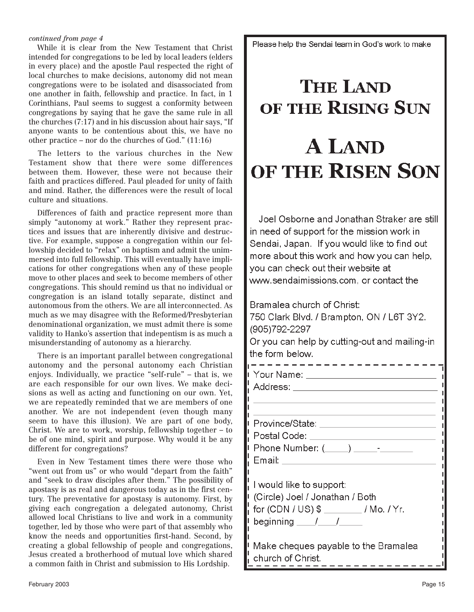### *continued from page 4*

While it is clear from the New Testament that Christ intended for congregations to be led by local leaders (elders in every place) and the apostle Paul respected the right of local churches to make decisions, autonomy did not mean congregations were to be isolated and disassociated from one another in faith, fellowship and practice. In fact, in 1 Corinthians, Paul seems to suggest a conformity between congregations by saying that he gave the same rule in all the churches (7:17) and in his discussion about hair says, "If anyone wants to be contentious about this, we have no other practice – nor do the churches of God." (11:16)

The letters to the various churches in the New Testament show that there were some differences between them. However, these were not because their faith and practices differed. Paul pleaded for unity of faith and mind. Rather, the differences were the result of local culture and situations.

Differences of faith and practice represent more than simply "autonomy at work." Rather they represent practices and issues that are inherently divisive and destructive. For example, suppose a congregation within our fellowship decided to "relax" on baptism and admit the unimmersed into full fellowship. This will eventually have implications for other congregations when any of these people move to other places and seek to become members of other congregations. This should remind us that no individual or congregation is an island totally separate, distinct and autonomous from the others. We are all interconnected. As much as we may disagree with the Reformed/Presbyterian denominational organization, we must admit there is some validity to Hanko's assertion that indepentism is as much a misunderstanding of autonomy as a hierarchy.

There is an important parallel between congregational autonomy and the personal autonomy each Christian enjoys. Individually, we practice "self-rule" – that is, we are each responsible for our own lives. We make decisions as well as acting and functioning on our own. Yet, we are repeatedly reminded that we are members of one another. We are not independent (even though many seem to have this illusion). We are part of one body, Christ. We are to work, worship, fellowship together – to be of one mind, spirit and purpose. Why would it be any different for congregations?

Even in New Testament times there were those who "went out from us" or who would "depart from the faith" and "seek to draw disciples after them." The possibility of apostasy is as real and dangerous today as in the first century. The preventative for apostasy is autonomy. First, by giving each congregation a delegated autonomy, Christ allowed local Christians to live and work in a community together, led by those who were part of that assembly who know the needs and opportunities first-hand. Second, by creating a global fellowship of people and congregations, Jesus created a brotherhood of mutual love which shared a common faith in Christ and submission to His Lordship.

February 2003

Please help the Sendai team in God's work to make

# **THE LAND** OF THE RISING SUN **A LAND** OF THE RISEN SON

Joel Osborne and Jonathan Straker are still in need of support for the mission work in Sendai, Japan. If you would like to find out more about this work and how you can help, you can check out their website at www.sendaimissions.com, or contact the

Bramalea church of Christ: 750 Clark Blvd. / Brampton, ON / L6T 3Y2. (905) 792-2297 Or you can help by cutting-out and mailing-in the form below. i Your Name: \_\_\_\_\_\_\_\_\_\_\_\_\_\_\_\_\_\_\_\_\_\_\_\_\_\_\_ Address: Analysis and Address and Address and Address and Address and Address and Address and Address and Address and Address and Address and Address and Address and Address and Address and Address and Address and Address Province/State: University of Province / State: Postal Code: \_\_\_\_\_\_\_\_\_\_\_\_\_\_\_\_\_\_\_\_\_\_\_\_\_\_\_\_\_\_ Phone Number:  $(\_\_\_\_\_\_\_\_$ I would like to support: (Circle) Joel / Jonathan / Both for  $(CDN / US)$  \$ \_\_\_\_\_\_\_/Mo./Yr. beginning  $1/2$ Make cheques payable to the Bramalea

church of Christ.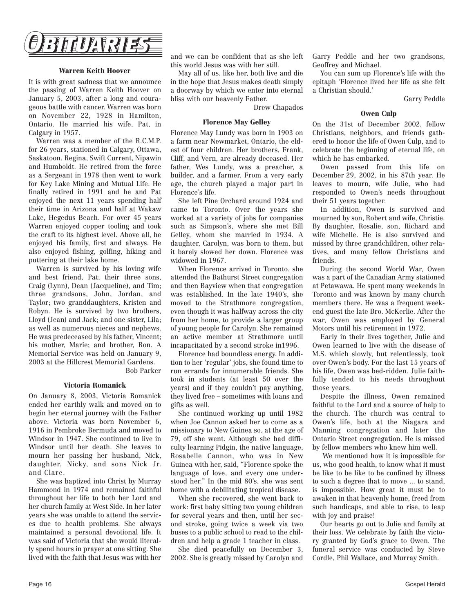

### **Warren Keith Hoover**

It is with great sadness that we announce the passing of Warren Keith Hoover on January 5, 2003, after a long and courageous battle with cancer. Warren was born on November 22, 1928 in Hamilton, Ontario. He married his wife, Pat, in Calgary in 1957.

Warren was a member of the R.C.M.P. for 26 years, stationed in Calgary, Ottawa, Saskatoon, Regina, Swift Current, Nipawin and Humboldt. He retired from the force as a Sergeant in 1978 then went to work for Key Lake Mining and Mutual Life. He finally retired in 1991 and he and Pat enjoyed the next 11 years spending half their time in Arizona and half at Wakaw Lake, Hegedus Beach. For over 45 years Warren enjoyed copper tooling and took the craft to its highest level. Above all, he enjoyed his family, first and always. He also enjoyed fishing, golfing, hiking and puttering at their lake home.

Warren is survived by his loving wife and best friend, Pat; their three sons, Craig (Lynn), Dean (Jacqueline), and Tim; three grandsons, John, Jordan, and Taylor; two granddaughters, Kristen and Robyn. He is survived by two brothers, Lloyd (Jean) and Jack; and one sister, Lila; as well as numerous nieces and nephews. He was predeceased by his father, Vincent; his mother, Marie; and brother, Ron. A Memorial Service was held on January 9, 2003 at the Hillcrest Memorial Gardens.

Bob Parker

### **Victoria Romanick**

On January 8, 2003, Victoria Romanick ended her earthly walk and moved on to begin her eternal journey with the Father above. Victoria was born November 6, 1916 in Pembroke Bermuda and moved to Windsor in 1947. She continued to live in Windsor until her death. She leaves to mourn her passing her husband, Nick, daughter, Nicky, and sons Nick Jr. and Clare.

She was baptized into Christ by Murray Hammond in 1974 and remained faithful throughout her life to both her Lord and her church family at West Side. In her later years she was unable to attend the services due to health problems. She always maintained a personal devotional life. It was said of Victoria that she would literally spend hours in prayer at one sitting. She lived with the faith that Jesus was with her

and we can be confident that as she left this world Jesus was with her still.

May all of us, like her, both live and die in the hope that Jesus makes death simply a doorway by which we enter into eternal bliss with our heavenly Father.

Drew Chapados

### **Florence May Gelley**

Florence May Lundy was born in 1903 on a farm near Newmarket, Ontario, the eldest of four children. Her brothers, Frank, Cliff, and Vern, are already deceased. Her father, Wes Lundy, was a preacher, a builder, and a farmer. From a very early age, the church played a major part in Florence's life.

She left Pine Orchard around 1924 and came to Toronto. Over the years she worked at a variety of jobs for companies such as Simpson's, where she met Bill Gelley, whom she married in 1934. A daughter, Carolyn, was born to them, but it barely slowed her down. Florence was widowed in 1967.

When Florence arrived in Toronto, she attended the Bathurst Street congregation and then Bayview when that congregation was established. In the late 1940's, she moved to the Strathmore congregation, even though it was halfway across the city from her home, to provide a larger group of young people for Carolyn. She remained an active member at Strathmore until incapacitated by a second stroke in1996.

Florence had boundless energy. In addition to her 'regular' jobs, she found time to run errands for innumerable friends. She took in students (at least 50 over the years) and if they couldn't pay anything, they lived free – sometimes with loans and gifts as well.

She continued working up until 1982 when Joe Cannon asked her to come as a missionary to New Guinea so, at the age of 79, off she went. Although she had difficulty learning Pidgin, the native language, Rosabelle Cannon, who was in New Guinea with her, said, "Florence spoke the language of love, and every one understood her." In the mid 80's, she was sent home with a debilitating tropical disease.

When she recovered, she went back to work: first baby sitting two young children for several years and then, until her second stroke, going twice a week via two buses to a public school to read to the children and help a grade 1 teacher in class.

She died peacefully on December 3, 2002. She is greatly missed by Carolyn and Garry Peddle and her two grandsons, Geoffrey and Michael.

You can sum up Florence's life with the epitaph 'Florence lived her life as she felt a Christian should.'

Garry Peddle

### **Owen Culp**

On the 31st of December 2002, fellow Christians, neighbors, and friends gathered to honor the life of Owen Culp, and to celebrate the beginning of eternal life, on which he has embarked.

Owen passed from this life on December 29, 2002, in his 87th year. He leaves to mourn, wife Julie, who had responded to Owen's needs throughout their 51 years together.

In addition, Owen is survived and mourned by son, Robert and wife, Christie. By daughter, Rosalie, son, Richard and wife Michelle. He is also survived and missed by three grandchildren, other relatives, and many fellow Christians and friends.

During the second World War, Owen was a part of the Canadian Army stationed at Petawawa. He spent many weekends in Toronto and was known by many church members there. He was a frequent weekend guest the late Bro. McKerlie. After the war, Owen was employed by General Motors until his retirement in 1972.

Early in their lives together, Julie and Owen learned to live with the disease of M.S. which slowly, but relentlessly, took over Owen's body. For the last 15 years of his life, Owen was bed-ridden. Julie faithfully tended to his needs throughout those years.

Despite the illness, Owen remained faithful to the Lord and a source of help to the church. The church was central to Owen's life, both at the Niagara and Manning congregation and later the Ontario Street congregation. He is missed by fellow members who knew him well.

We mentioned how it is impossible for us, who good health, to know what it must be like to be like to be confined by illness to such a degree that to move ... to stand, is impossible. How great it must be to awaken in that heavenly home, freed from such handicaps, and able to rise, to leap with joy and praise!

Our hearts go out to Julie and family at their loss. We celebrate by faith the victory granted by God's grace to Owen. The funeral service was conducted by Steve Cordle, Phil Wallace, and Murray Smith.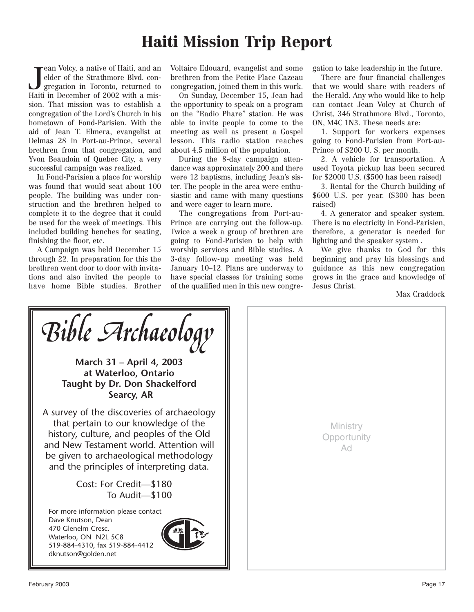## **Haiti Mission Trip Report**

 $\begin{array}{l} \textcolor{red}{\displaystyle\int} \textcolor{red}{\displaystyle\int} \textcolor{red}{\displaystyle\int} \textcolor{red}{\displaystyle\int} \textcolor{red}{\displaystyle\int} \textcolor{red}{\displaystyle\int} \textcolor{red}{\displaystyle\int} \textcolor{red}{\displaystyle\int} \textcolor{red}{\displaystyle\int} \textcolor{red}{\displaystyle\int} \textcolor{red}{\displaystyle\int} \textcolor{red}{\displaystyle\int} \textcolor{red}{\displaystyle\int} \textcolor{red}{\displaystyle\int} \textcolor{red}{\displaystyle\int} \textcolor{red}{\displaystyle\int} \textcolor{red}{\displaystyle\int} \textcolor{red}{\displaystyle\$ ean Volcy, a native of Haiti, and an elder of the Strathmore Blvd. congregation in Toronto, returned to sion. That mission was to establish a congregation of the Lord's Church in his hometown of Fond-Parisien. With the aid of Jean T. Elmera, evangelist at Delmas 28 in Port-au-Prince, several brethren from that congregation, and Yvon Beaudoin of Quebec City, a very successful campaign was realized.

In Fond-Parisien a place for worship was found that would seat about 100 people. The building was under construction and the brethren helped to complete it to the degree that it could be used for the week of meetings. This included building benches for seating, finishing the floor, etc.

A Campaign was held December 15 through 22. In preparation for this the brethren went door to door with invitations and also invited the people to have home Bible studies. Brother

Voltaire Edouard, evangelist and some brethren from the Petite Place Cazeau congregation, joined them in this work.

On Sunday, December 15, Jean had the opportunity to speak on a program on the "Radio Phare" station. He was able to invite people to come to the meeting as well as present a Gospel lesson. This radio station reaches about 4.5 million of the population.

During the 8-day campaign attendance was approximately 200 and there were 12 baptisms, including Jean's sister. The people in the area were enthusiastic and came with many questions and were eager to learn more.

The congregations from Port-au-Prince are carrying out the follow-up. Twice a week a group of brethren are going to Fond-Parisien to help with worship services and Bible studies. A 3-day follow-up meeting was held January 10–12. Plans are underway to have special classes for training some of the qualified men in this new congregation to take leadership in the future.

There are four financial challenges that we would share with readers of the Herald. Any who would like to help can contact Jean Volcy at Church of Christ, 346 Strathmore Blvd., Toronto, ON, M4C 1N3. These needs are:

1. Support for workers expenses going to Fond-Parisien from Port-au-Prince of \$200 U. S. per month.

2. A vehicle for transportation. A used Toyota pickup has been secured for \$2000 U.S. (\$500 has been raised)

3. Rental for the Church building of \$600 U.S. per year. (\$300 has been raised)

4. A generator and speaker system. There is no electricity in Fond-Parisien, therefore, a generator is needed for lighting and the speaker system .

We give thanks to God for this beginning and pray his blessings and guidance as this new congregation grows in the grace and knowledge of Jesus Christ.

Max Craddock

**March 31 – April 4, 2003 at Waterloo, Ontario Taught by Dr. Don Shackelford Searcy, AR** A survey of the discoveries of archaeology that pertain to our knowledge of the history, culture, and peoples of the Old and New Testament world. Attention will be given to archaeological methodology and the principles of interpreting data. Cost: For Credit—\$180 To Audit—\$100 For more information please contact Dave Knutson, Dean 470 Glenelm Cresc. Waterloo, ON N2L 5C8 519-884-4310, fax 519-884-4412 dknutson@golden.net *Bible Archaeology*

**Ministry Opportunity** Ad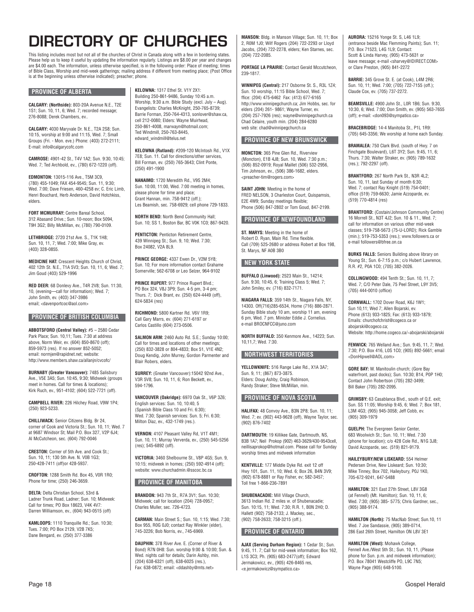# **DIRECTORY OF CHURCHES**

This listing includes most but not all of the churches of Christ in Canada along with a few in bordering states. Please help us to keep it useful by updating the information regularly. Listings are \$8.00 per year and changes are \$4.00 each. The information, unless otherwise specified, is in the following order: Place of meeting; times of Bible Class, Worship and mid-week gatherings; mailing address if different from meeting place; (Post Office is at the beginning unless otherwise indicated); preacher; phone.

### **PROVINCE OF ALBERTA**

**CALGARY: (Northside):** 803-20A Avenue N.E., T2E 1S1; Sun. 10, 11, 6; Wed. 7; recorded message; 276-8088; Derek Chambers, ev..

**CALGARY:** 4030 Maryvale Dr. N.E., T2A 2S8; Sun. 10:15, worship at 9:00 and 11:15, Wed. 7; Small Groups (Fri. - Mon. eve.) Phone: (403) 272-2111; E-mail: info@calgarycofc.com

**CAMROSE:** 4901-42 St., T4V 1A2; Sun. 9:30, 10:45; Wed. 7; Ted Archbold, ev., (780) 672-1220 (off).

**EDMONTON:** 13015-116 Ave., T5M 3C9, (780) 455-1049; FAX 454-9545; Sun. 11, 9:30; Wed. 7:00; Dave Friesen, 460-4258 ev; C. Eric Limb, Henri Bouchard, Herb Anderson, David Hotchkiss, elders.

**FORT MCMURRAY: Centre Bareal School** 312 Abasand Drive.; Sun. 10-noon; Box 5094, T9H 3G2; Billy McMillan, ev, (780) 790-0109.

**LETHBRIDGE:** 2720 21st Ave. S., T1K 1H8; Sun. 10, 11, 7; Wed. 7:00; Mike Gray, ev. (403) 328-0855.

**MEDICINE HAT:** Crescent Heights Church of Christ, 402 12th St. N.E., T1A 5V3; Sun. 10, 11, 6; Wed. 7; Jim Goud (403) 529-1996

**RED DEER:** 68 Donlevy Ave., T4R 2V8; Sun. 11:30, 10, (evening—call for information); Wed. 7; John Smith, ev. (403) 347-3986 email; <davenportcoc@aol.com>

### **PROVINCE OF BRITISH COLUMBIA**

**ABBOTSFORD (Central Valley):** #5 – 2580 Cedar Park Place; Sun. 10,11; Tues. 7:30 at address above, Norm Weir, ev. (604) 850-8670 (off); 859-5973 (res). If no answer 852-5052; email: normjen@rapidnet.net; website: http://www.members.shaw.ca/allanin/cvcofc/

**BURNABY (Greater Vancouver):** 7485 Salisbury Ave., V5E 3A5; Sun. 10:45, 9:30; Midweek (groups meet in homes. Call for times & locations); Kirk Ruch, ev., 951-4102; (604) 522-7721 (off).

**CAMPBELL RIVER:** 226 Hilchey Road, V9W 1P4; (250) 923-5233.

**CHILLIWACK:** Senior Citizens Bldg. Br 24, corner of Cook and Victoria St.; Sun. 10, 11; Wed. 7 at 9687 Windsor St; Mail P.O. Box 327, V2P 6J4; Al McCutcheon, sec. (604) 792-0046

**CRESTON:** Corner of 5th Ave. and Cook St.; Sun. 10, 11; 130 5th Ave. N. V0B 1G3; 250-428-7411 (off)or 428-5937.

**CROFTON:** 1288 Smith Rd. Box 45, V0R 1R0; Phone for time; (250) 246-3659.

**DELTA:** Delta Christian School, 53rd & Ladner Trunk Road, Ladner; Sun. 10; Midweek: Call for times; PO Box 18623, V4K 4V7: Darren Williamson, ev., (604) 943-0515 (off)

**KAMLOOPS:** 1110 Tranquille Rd.; Sun. 10:30; Tues. 7:00; PO Box 2129, V2B 7K5; Dane Bengard, ev. (250) 377-3386

**KELOWNA:** 1317 Ethel St. V1Y 2X1: Building 250-861-9486, Sunday 10:45 a.m. Worship, 9:30 a.m. Bible Study (excl. July – Aug). Evangelists: Charles McKnight, 250-765-8739; Barrie Forman, 250-764-4313, sonlover@shaw.ca, cell 212-0080; Elders: Wayne Muirhead, 250-861-4008, marwayn@hotmail.com; Ted Windmill, 250-763-8445, edward\_windmill@telus.net

**KELOWNA (Rutland):** #209-120 McIntosh Rd., V1X 7E8; Sun. 11. Call for directions/other services, Bill Forman, ev. (250) 765-3643; Clint Ponte, (250) 491-1900

**NANAIMO:** 1720 Meredith Rd., V9S 2M4; Sun. 10:00, 11:00, Wed. 7:00 meeting in homes, please phone for time and place; Grant Hannan, min. 758-9412 (off.); Les Beamish, sec. 758-6929; cell phone 729-1833.

**NORTH BEND:** North Bend Community Hall; Sun. 10; SS 1, Boston Bar, BC V0K 1C0; 867-9420.

**PENTICTON:** Penticton Retirement Centre, 439 Winnipeg St.; Sun. 9, 10; Wed. 7:30; Box 24082, V2A 8L9.

**PRINCE GEORGE:** 4337 Ewen Dr., V2M 5Y8; Sun. 10; For more information contact Grahame Somerville; 562-6708 or Leo Selzer, 964-9102

**PRINCE RUPERT: 977 Prince Rupert Blvd.:** PO Box 324, V8J 3P9; Sun. 4-5 pm, 3-4 pm; Thurs. 7; Dick Brant, ev. (250) 624-4449 (off), 624-5834 (res)

**RICHMOND:** 5800 Kartner Rd. V6V 1R9; Call Gary Marrs, ev. (604) 271-6197 or Carlos Castillo (604) 273-0506.

**SALMON ARM:** 2460 Auto Rd. S.E.; Sunday 10:00; Call for times and locations of other meetings; (250) 832-3828 or 804-4833; Box 51, V1E 4N2; Doug Kendig, John Murrey, Gordon Parmenter and Blair Robers, elders.

**SURREY:** (Greater Vancouver):15042 92nd Ave., V3R 5V8; Sun. 10, 11, 6; Ron Beckett, ev., 594-1796.

**VANCOUVER (Oakridge):** 6970 Oak St., V6P 3Z6; English services: Sun. 10, 10:40, 5 (Spanish Bible Class 10 and Fri. 6:30); Wed. 7:30; Spanish services: Sun. 5; Fri. 6:30; Milton Diaz, ev., 432-1749 (res.).

**VERNON:** 4107 Pleasant Valley Rd, V1T 4M1; Sun. 10, 11; Murray Ververda, ev., (250) 545-5256  $(r_{P5})$ ; 545-6892 (off).

**VICTORIA:** 3460 Shelbourne St., V8P 4G5; Sun. 9, 10:15; midweek in homes; (250) 592-4914 (off); website: www.churchadmin.@sscoc.bc.ca

### **PROVINCE OF MANITOBA**

**BRANDON:** 943 7th St., R7A 3V1; Sun. 10:30; Midweek; call for location (204) 728-0957; Charles Muller, sec. 726-4723.

CARMAN: Main Street S : Sun. 10, 1:15; Wed. 7:30; Box 955, R0G 0J0; contact Ray Winkler (elder), 745-3226; Bob Norris, ev., 745-6969.

**DAUPHIN:** 378 River Ave. E. (Corner of River & Bond) R7N 0H8: Sun. worship 9:00 & 10:00; Sun. & Wed. nights call for details; Darin Ashby, min. (204) 638-6321 (off), 638-6025 (res.), Fax: 638-0872; email: <ddashby@mts.net>

**MANSON:** Bldg. in Manson Village; Sun. 10, 11; Box 2, R0M 1J0; Wilf Rogers (204) 722-2293 or Lloyd Jacobs, (204) 722-2278, elders; Ken Starnes, sec. (204) 722-2085.

**PORTAGE LA PRAIRIE:** Contact Gerald Mccutcheon, 239-1817.

**WINNIPEG (Central):** 217 Osborne St. S., R3L 1Z4; Sun. 10 worship, 11:15 Bible School, Wed. 7; ffice: (204) 475-6462 Fax: (413) 677-6165 http://www.winnipegchurch.ca; Jim Hobbs, sec. for elders (204) 261- 9861; Wayne Turner, ev. (204) 257-7926 (res); wayne@winnipegchurch.ca Chad Celaire, youth min. (204) 284-6280 web site: chad@winnipegchurch.ca

### **PROVINCE OF NEW BRUNSWICK**

**MONCTON:** 365 Pine Glen Rd., Riverview (Moncton), E1B 4J8; Sun. 10, Wed. 7:30 p.m.; (506) 852-0919; Royal Maillet (506) 532-2956, Tim Johnson, ev., (506) 386-1682, elders. <preacher-tim@rogers.com>

**SAINT JOHN:** Meeting in the home of FRED NELSON, 3 Charleston Court, Quispamsis, E2E 4W9; Sunday meetings flexible; Phone (506) 847-2802 or Tom Goud, 847-2199.

### **PROVINCE OF NEWFOUNDLAND**

**ST. MARYS:** Meeting in the home of Robert D. Ryan, Main Rd. Time flexible. Call (709) 525-2680 or address Robert at Box 198, St. Marys, NF A0B 3B0

### **NEW YORK STATE**

**BUFFALO (Linwood):** 2523 Main St., 14214; Sun. 9:30, 10:45, 6; Training Class 5; Wed. 7; John Smiley, ev. (716) 832-7171.

**NIAGARA FALLS:** 359 14th St., Niagara Falls, NY, 14303. Off(716)285-6534, Home (716) 886-2871. Sunday Bible study 10 am, worship 11 am, evening 6 pm, Wed. 7 pm. Minister Eddie J. Cornelius. e-mail BROCNFCC@juno.com

**NORTH BUFFALO:** 350 Kenmore Ave., 14223; Sun. 10,11,7; Wed. 7:30.

**NORTHWEST TERRITORIES**

**YELLOWKNIFE:** 516 Range Lake Rd., X1A 3A7; Sun. 9, 11; (867) 873-3875. Elders: Doug Ashby, Craig Robinson, Randy Straker; Steve McMillan, min.

### **PROVINCE OF NOVA SCOTIA**

**HALIFAX: 48 Convoy Ave., B3N 2P8: Sun. 10, 11:** Wed. 7; ev. (902) 443-9628 (off), Wayne Taylor, sec. (902) 876-7402

**DARTMOUTH:** 19 Killikee Gate, Dartmouth, NS, B3B 1A7; Neil Prokop (902) 463-3629/430-9543cell, neillisaprokop@hotmail.com. Please call for Sunday worship times and midweek information

**KENTVILLE:** 177 Middle Dyke Rd. exit 12 off Hwy 101, Sun. 11, 10; Wed. 6; Box 26, B4N 3V9; (902) 678-8881 or Ray Fisher, ev; 582-3457; Toll free 1-866-236-7891

**SHUBENACADIE:** Mill Village Church, 3613 Indian Rd. 2 miles w. of Shubenacadie; Sun. 10:15, 11; Wed. 7:30; R.R. 1, B0N 2H0; D. Hallett (902) 758-2133; J. Mackey, sec., (902) 758-2633; 758-3215 (off.).

### **PROVINCE OF ONTARIO**

**AJAX (Serving Durham Region):** 1 Cedar St.; Sun. 9:45, 11. 7; Call for mid-week information; Box 162, L1S 3C3; Ph. (905) 683-2477(off); Edward Jermakowicz, ev., (905) 426-8465 res, <e.jermakowicz@sympatico.ca>

**AURORA:** 15216 Yonge St. S, L46 1L9; (entrance beside Mac Flemming Paints); Sun. 11; P.O. Box 71523, L4G 1L9; Contact: Scott & Linda Harvey, (905) 473-5631 or leave message; e-mail <sharvey@IDIRECT.COM> or Clare Preston, (905) 841-2272

**BARRIE:** 345 Grove St. E. (at Cook), L4M 2R6; Sun. 10, 11; Wed. 7:00; (705) 722-7155 (off.); Claude Cox, ev. (705) 737-2272.

**BEAMSVILLE:** 4900 John St., L0R 1B6; Sun. 9:30, 10:30, 6; Wed. 7:00; Don Smith, ev. (905) 563-7655 (off); e-mail: <don093@sympatico.ca>

**BRACEBRIDGE:** 14-4 Manitoba St., P1L 1R9: (705) 645-3356; We worship at home each Sunday.

**BRAMALEA:** 750 Clark Blvd. (south of Hwy. 7 on Finchgate Boulevard), L6T 3Y2; Sun. 9:45, 11, 6; Thurs. 7:30; Walter Straker, ev. (905) 789-1632 (res.); 792-2297 (off).

**BRANTFORD:** 267 North Park St., N3R 4L2; Sun. 10, 11, last Sunday of month 6:30; Wed. 7; contact Ray Knight (519) 754-0401; office (519) 759-6630; Jamie Azzoparde, ev. (519) 770-4814 (res)

**BRANTFORD:** (Costain/Johnson Community Centre) 16 Morrell St., N3T 4J2; Sun. 10 & 11., Wed. 7; call for information on various other mid-week classes; 519-758-5673 (75-U-LORD); Rick Gamble (min.); 519-753-5353 (res.); www.followers.ca or e-mail followers@bfree.on.ca

**BURKS FALLS:** Seniors Building above library on Young St.; Sun. 6-7:15 p.m.; c/o Hubert Lawrence, R.R. #2, P0A 1C0; (705) 382-2026.

**COLLINGWOOD:** 494 Tenth St.; Sun. 10, 11, 7; Wed. 7; C/O Peter Dale, 75 Peel Street, L9Y 3V5; (705) 444-0010 (office)

**CORNWALL:** 1702 Dover Road, K6J 1W1; Sun 10,11; Wed 7; Allen Bojarski, ev. Phone (613) 933-1825; Fax: (613) 933-1879; Emails: churchofchrist@cogeco.ca or abojarski@cogeco.ca; Website: http://home.cogeco.ca/~abojarski/abojarski

**FENWICK:** 765 Welland Ave.; Sun. 9:45, 11, 7; Wed. 7:30; P.O. Box 416, L0S 1C0; (905) 892-5661; email <DonHipwell@AOL.com>

**GORE BAY:** W. Manitoulin church; (Gore Bay waterfront, past docks); Sun. 10:30; B14, P0P 1H0; Contact John Robertson (705) 282-3499; Bill Baker (705) 282-2095.

**GRIMSBY:** 63 Casablanca Blvd., south of Q.E. exit; Sun. SS 11:05; Worship 9:45, 6; Wed. 7; Box 181, L3M 4G3; (905) 945-3058; Jeff Cobb, ev. (905) 309-1979

**GUELPH:** The Evergreen Senior Center, 683 Woolwich St.; Sun. 10, 11; Wed. 7:30 (phone for location); c/o 428 Cole Rd., N1G 3J8; David Azzoparde, sec. (519) 821-9179.

**HAILEYBURY/NEW LISKEARD:** 554 Helmer Pedersen Drive, New Liskeard; Sun. 10:30; Mike Tinney, Box 702, Haileybury, P0J 1K0, 705-672-9241, 647-5488

**HAMILTON: 321 East 27th Street, L8V 3G8** (at Fennell) (Mt. Hamilton); Sun. 10, 11, 6; Wed. 7:30; (905) 385- 5775; Chris Gardner, sec., (905) 388-9174.

**HAMILTON (North):** 75 MacNab Street; Sun.10, 11 Wed. 7 Joe Sandassie, (905) 389-0714, 286 East 26th Street, Hamilton ON L8V 3E1

**HAMILTON (West):** Mohawk College, Fennell Ave./West 5th St.; Sun. 10, 11, (Please phone for Sun. p.m. and midweek information); P.O. Box 78041 Westcliffe PO, L9C 7N5; Wayne Page (905) 648-5100.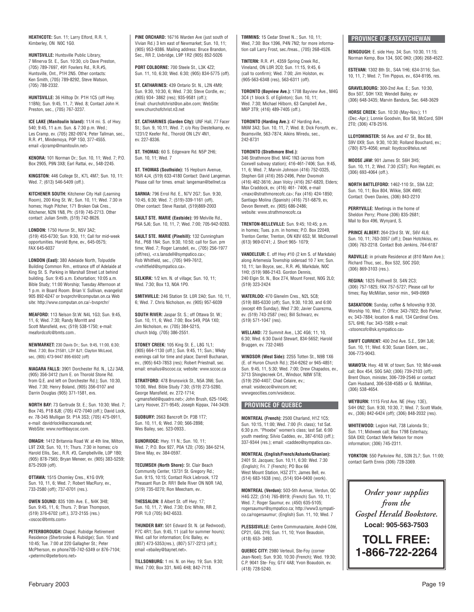**HEATHCOTE:** Sun. 11; Larry Elford, R.R. 1, Kimberley, ON N0C 1G0.

**HUNTSVILLE:** Huntsville Public Library, 7 Minerva St. E., Sun. 10:30, c/o Dave Preston, (705) 789-7697, 491 Fowlers Rd., R.R.#5, Huntsville, Ont., P1H 2N5. Other contacts: Ken Smith, (705) 789-8292, Steve Watson, (705) 788-2332.

**HUNTSVILLE:** 36 Hilltop Dr. P1H 1C5 (off Hwy. 11BN); Sun. 9:45, 11, 7; Wed. 8; Contact John H. Preston, sec., (705) 767-3237.

**ICE LAKE (Manitoulin Island):** 11/4 mi. S. of Hwy. 540; 9:45, 11 a.m. Sun. & 7:30 p.m. Wed.; Les Cramp, ev. (705) 282-0974; Peter Tallman, sec., R.R. #1, Mindemoya, P0P 1S0, 377-4555. email <ljcramp@manitoulin.net>

**KENORA:** 101 Norman Dr.; Sun. 10, 11; Wed. 7; P.O. Box 2905, P9N 3X8; Earl Rattai, ev., 548-2245.

**KINGSTON:** 446 College St., K7L 4M7; Sun. 10, 11: Wed. 7; (613) 546-5409 (off.).

**KITCHENER SOUTH:** Kitchener City Hall (Learning Room), 200 King St. W.; Sun. 10, 11; Wed. 7:30 in homes; Hugh Pitcher, 171 Broken Oak Cres., Kitchener, N2N 1N8, Ph: (519) 745-2713. Other contact: Julian Smith, (519) 742-8626.

**LONDON:** 1750 Huron St., N5V 3A2; (519) 455-6730; Sun. 9:30, 11; Call for mid-week opportunities. Harold Byne, ev., 645-0575; FAX 645-6037

**LONDON (East):** 380 Adelaide North, Tolpuddle Building Common Rm., entrance off of Adelaide at King St. S. Parking in Marshall Street Lot behind building. Sun: 9:45 a.m. Exhortation; 10:05 a.m. Bible Study; 11:00 Worship; Tuesday Afternoon at 1 p.m. in Board Room. Brian V. Sullivan, evangelist 905 892-6247 or bvsprchr@computan.on.ca Web site: http://www.computan.on.ca/~bvsprchr/

**MEAFORD:** 113 Nelson St.W. N4L 1G3; Sun. 9:45, 11, 6; Wed. 7:30; Randy Morritt and Scott Mansfield, evs; (519) 538-1750; e-mail: meafordcofc@bmts.com..

**NEWMARKET:** 230 Davis Dr.; Sun. 9:45, 11:00, 6:30; Wed. 7:30; Box 21581, L3Y 8J1; Clayton McLeod, sec, (905) 473-9447 895-6502 (off)

**NIAGARA FALLS:** 3901 Dorchester Rd. N., L2J 3A8, (905) 356-3412 (turn E. on Thorold Stone Rd. from Q.E. and left on Dorchester Rd.); Sun. 10:30, Wed. 7:30; Henry Boland, (905) 356-0107 and Darrin Douglas (905) 371-1581, evs.

**NORTH BAY:** 73 Gertrude St. E.; Sun. 10:30; Wed. 7; Box 745, P1B 8J8; (705) 472-7040 (off.); David Lock, ev. 78-345 Mulligan St. P1A 3S3; (705) 475-0911, e-mail: davidrlock@acncanada.net; WebSite: www.northbaycoc.com.

**OMAGH:** 1412 Britannia Road W. at 4th line, Milton, L9T 2X8; Sun. 10, 11; Thurs. 7:30 in homes; c/o Harold Ellis, Sec., R.R. #3, Campbellville, LOP 1B0; (905) 878-7565; Bryan Meneer, ev. (905) 383-5259; 875-2939 (off).

**OTTAWA:** 1515 Chomley Cres., K1G 0V9; Sun. 10, 11, 6; Wed. 7; Robert MacRury, ev., 733-2580 (off); 737-0701 (res.).

**OWEN SOUND:** 835 10th Ave. E., N4K 3H8; Sun. 9:45, 11, 6; Thurs. 7; Brian Thompson, (519) 376-6702 (off.), 372-2155 (res.) <oscoc@bmts.com>

**PETERBOROUGH:** Chapel, Rubidge Retirement Residence (Sherbrooke & Rubidge); Sun. 10 and 10:45; Tue. 7:00 at 220 Gallagher St : Peter McPherson, ev phone705-742-5349 or 876-7104; <petermc@peterboro.net>

**PINE ORCHARD:** 16716 Warden Ave (just south of Vivian Rd.) 3 km east of Newmarket; Sun. 10, 11; (905) 953-9386. Mailing address: Bruce Brandon, Sec., RR 2, Uxbridge, L9P 1R2 (905) 852-5026

**PORT COLBORNE:** 700 Steele St., L3K 4Z2; Sun. 11, 10, 6:30; Wed. 6:30; (905) 834-5775 (off).

**ST. CATHARINES:** 439 Ontario St. N., L2N 4M9; Sun. 9:30, 10:30, 6; Wed. 7:30; Steve Cordle, ev.; (905) 934- 3862 (res); 935-9581 (off.); Email: churchofchrist@on.aibn.com; WebSite: www.churchofchrist.n3.net

**ST. CATHARINES (Garden City):** UNF Hall, 77 Facer St.; Sun. 9, 10,11; Wed. 7; c/o Roy Diestelkamp, ev. 1231/2 Keefer Rd., Thorold ON L2V 4N1, ev. 227-8336.

**ST. THOMAS:** 60 S. Edgeware Rd. N5P 2H6; Sun. 10, 11; Wed. 7

**ST. THOMAS (Southside):** 15 Hepburn Avenue, N5R 4J4, (519) 633-4180 Contact: David Langeman. Please call for times. email: langeman@bellnet.ca

**SARNIA:** 796 Errol Rd. E., N7V 2G7; Sun. 9:30, 10:45, 6:30; Wed. 7; (519)-339-1161 (off), Other contact: Steve Rastall, (519)869-2003

**SAULT STE. MARIE (Eastside):** 99 Melville Rd., P6A 5J6; Sun. 10, 11, 7; Wed. 7:00; 705-942-9283.

**SAULT STE. MARIE (Pinehill):** 132 Cunningham Rd., P6B 1N4; Sun. 9:30, 10:50; call for Sun. pm time; Wed. 7; Roger Lansdell, ev., (705) 256-1977 (off/res), <r.s.lansdell@sympatico.ca>; Rob Whitfield, sec., (705) 949-7612, <rwhitfield@sympatico.ca>.

**SELKIRK:** 1/2 km. N. of village; Sun. 10, 11; Wed. 7:30; Box 13, N0A 1P0.

**SMITHVILLE:** 246 Station St. L0R 2A0; Sun. 10, 11, 6; Wed. 7. Chris Nicholson, ev. (905) 957-6039

**SOUTH RIVER:** Jaspar St. S.; off Ottawa St. W.; Sun. 10, 11, 6; Wed. 7:00; Box 549, P0A 1X0; Jim Nicholson, ev. (705) 384-5215, church bldg. (705) 386-2551.

**STONEY CREEK:** 105 King St. E., L8G 1L1; (905) 664-1130 (off.); Sun. 9:45, 11; Sun.; Wkdy evenings call for time and place; Darrell Buchanan, ev., (905) 643-7853 (res); Robert Priestnall, sec. email: emailus@sccoc.ca; website: www.sccoc.ca

STRATFORD: 478 Brunswick St., N5A 3N6; Sun. 10:00, Wed. Bible Study 7:30; (519) 273-5280, George Mansfield, ev. 272-1714; <gmansfield@quadro.net>; John Brush, 625-1045; Larry Hoover, 271-9545; Joseph Kippax, 744-3439.

**SUDBURY:** 2663 Bancroft Dr. P3B 1T7; Sun. 10, 11, 6; Wed. 7:00; 566-2898; Wes Bailey, sec. 523-0933..

**SUNDRIDGE:** Hwy. 11 N.; Sun. 10, 11; Wed. 7; P.O. Box 927, P0A 1Z0; (705) 384-5214, Steve May, ev. 384-0597.

**TECUMSEH (North Shore):** St. Clair Beach Community Center, 13731 St. Gregory Rd.; Sun. 9:15, 10:15; Contact Rick Liebrook, 172 Pheasant Run Dr. RR1 Belle River ON N0R 1A0, (519) 735-0270; Ron Meecham, ev..

**THESSALON:** 8 Albert St. off Hwy. 17; Sun. 10, 11, 7; Wed. 7:30; Eric White, RR 2, P0R 1L0 (705) 842-6533.

**THUNDER BAY:** 501 Edward St. N. (at Redwood), P7C 4R1; Sun. 9:45, 11 (call for summer hours); Wed. call for information; Eric Bailey, ev. (807) 473-5353(res.), (807) 577-2213 (off.); email <ebailey@baynet.net>.

**TILLSONBURG:** 1 mi. N. on Hwy. 19; Sun. 9:30; Wed. 7:00; Box 331, N4G 4H8; 842-7118.

**TIMMINS:** 15 Cedar Street N..; Sun. 10, 11; Wed, 7:30: Box 1396, P4N 7N2; for more information call Larry Frost, sec./treas., (705) 268-4526.

**TINTERN:** R.R. #1, 4359 Spring Creek Rd., Vineland, ON L0R 2C0; Sun. 11:15, 9:45, 6 (call to confirm); Wed. 7:00; Jim Holston, ev. (905-563-6348 (res), 563-6311 (off).

**TORONTO (Bayview Ave.):** 1708 Bayview Ave., M4G 3C4 (1 block S. of Eglinton); Sun. 10, 11; Wed. 7:30; Michael Hilborn, 63 Campbell Ave., M6P 3T9; (416) 489-7405 (off.).

**TORONTO (Harding Ave.):** 47 Harding Ave., M6M 3A3; Sun. 10, 11, 7; Wed. 8; Dick Forsyth, ev., Beamsville, 563-7874; Aikins Wiredu, sec., 242-8731

**TORONTO (Strathmore Blvd.):** 

346 Strathmore Blvd. M4C 1N3 (across from Coxwell subway station); 416-461-7406; Sun. 9:45, 11, 6; Wed. 7; Marvin Johnson (416) 752-0325, Stephen Gill (416) 265-2496, Peter Dwomoh (416) 462-3616; Jean Volcy (416) 267-6820, Elders; Max Craddock, ev. (416) 461- 7406, e-mail <maxc@strathmorecofc.ca>; Fax (416) 424-1850; Santiago Molina (Spanish) (416) 751-6879, ev, Devon Bennett, ev. (905) 686-2486; website: www.strathmorecofc.ca

**TRENTON-BELLEVILLE:** Sun. 9:45; 10:45; p.m. in homes; Tues. p.m. in homes; P.O. Box 22049, Trenton Center, Trenton, ON K8V 6S3; M. McDonnell (613) 969-0741; J. Short 965- 1079;

**VANDELEUR:** E. off Hwy #10 (2 km S. of Markdale) along Artemesia Township sideroad 10 7 km; Sun. 10, 11; Ian Boyce, sec., R.R. #6, Markdale, N0C 1H0; (519) 986-2143. Gordon Dennis, 240 Elgin St. N., Box 274, Mount Forest, N0G 2L0; (519) 323-2424

**WATERLOO:** 470 Glenelm Cres., N2L 5C8; (519) 885-6330 (off); Sun, 9:30, 10:30, and 6:00 (except 4th Sunday), Wed 7:30; Javier Cuarezma, ev. (519) 743-2587 (res); Bill Schwarz, ev. (519) 571-1047 (res).

**WELLAND:** 72 Summit Ave., L3C 4G6; 11, 10, 6:30; Wed. 6:30 David Stewart, 834-5652; Harold Bruggen, ev. 732-2465

**WINDSOR (West Side):** 2255 Totten St., N9B 1X6 (E. of Huron Church Rd.); 254-6262 or 945-4851; Sun. 9:45, 11, 5:30; Wed. 7:00; Drew Chapados, ev., 3713 Shinglecreek Crt., Windsor, N8W 5T8; (519) 250-4407; Chad Celaire, ev.; email: wsidecoc@wincom.net; wwwgeocities.com/wsidecoc.

### **PROVINCE OF QUEBEC**

**MONTREAL (French):** 2500 Charland, H1Z 1C5; Sun. 10:15, 11:00; Wed. 7:00 (Fr. class); 1st Sat. 6:30 p.m. "Phoebe" women's class; last Sat. 6:00 youth meeting; Silvio Caddeo, ev., 387-6163 (off.); 337-9344 (res.); email: <caddeo@sympatico.ca>.

**MONTREAL (English/French/Ashante/Ghanian):** 2401 St. Jacques; Sun. 10,11, 6:30: Wed. 7:30 (English); Fri. 7 (French); PO Box 66 West Mount Station, H3Z 2T1; James Bell, ev. (514) 683-1638 (res), (514) 934-0400 (work).

**MONTREAL (Verdun):** 503-5th Avenue, Verdun, QC H4G 2Z2; (514) 765-8919; (French) Sun. 10, 11; Wed. 7; Roger Saumur, ev. (450) 635-5105; rogersaumur@sympatico.ca; http://www3.sympatico.ca/rogersaumur; (English) Sun. 11, 10; Wed. 7

**PLESSISVILLE:** Centre Communautaire, André Côté, CP21, G6L 2Y6; Sun. 11, 10; Yvon Beaudoin, (418) 653- 3493.

**QUEBEC CITY:** 2980 Verteuil, Ste-Foy (corner Jean-Noel); Sun. 9:30, 10:30 (French); Wed. 19:30; C.P. 9041 Ste- Foy, G1V 4A8; Yvon Boaudoin, ev. (418) 728-5240.

### **PROVINCE OF SASKATCHEWAN**

**BENGOUGH:** E. side Hwy. 34; Sun. 10:30, 11:15; Norman Kemp, Box 134, S0C 0K0; (306) 268-4522.

**ESTEVAN:** 1302 8th St., S4A 1H6; 634-3116; Sun. 10, 11, 7; Wed. 7; Tim Pippus, ev., 634-8195, res.

**GRAVELBOURG:** 300-2nd Ave. E.; Sun. 10:30, Box 507, S0H 1X0; Wendell Bailey, ev (306) 648-3435; Marvin Bandura, Sec. 648-3629

**HORSE CREEK:** Sun. 10:30 (May-Nov.); 11 (Dec.-Apr.); Lonnie Goodwin, Box 58, McCord, S0H 2T0; (306) 478-2516.

**LLOYDMINSTER:** 56 Ave. and 47 St., Box 88, S9V 0X9; Sun. 9:30, 10:30; Rolland Bouchard, ev.; (780) 875-4056; email: lloydcoc@telus.net

**MOOSE JAW:** 901 James St. S6H 3H5; Sun. 10, 11, 2; Wed. 7:30 (CST); Ron Hegdahl, ev. (306) 693-4064 (off.).

**NORTH BATTLEFORD:** 1462-110 St., S9A 2J2; Sun. 10, 11: Box 804, Wilkie, S0K 4W0; Contact: Owen Davies, (306) 843-2210

**PERRYVILLE:** Meetings in the home of Sheldon Perry; Phone (306) 835-2681; Mail to Box 496, Wynyard, S.

**PRINCE ALBERT:** 264-23rd St. W., S6V 4L6; Sun. 10, 11; 763-3057 (off.); Dean Hotchkiss, ev. (306) 763-2218. Contact Bob Jenkins, 764-6187

**RADVILLE:** in private Residence at (810 Mann Ave.); Richard Thuc, sec., Box 532, S0C 2G0; (306) 869-3103 (res.).

**REGINA:** 1825 Rothwell St. S4N 2C3; (306) 757-1825; FAX 757-5727; Please call for times; Ray McMillan, senior min., 949-0969

**SASKATOON:** Sunday, coffee & fellowship 9:30, Worship 10, Wed. 7: Office: 343-7922; Bob Parker ev, 343-7884; location & mail, 134 Cardinal Cres. S7L 6H6; Fax: 343-1589; e-mail: <stooncofc@sk.sympatico.ca>

**SWIFT CURRENT:** 400 2nd Ave. S.E., S9H 3J6; Sun. 10, 11; Wed. 6:30; Susan Eidem, sec., 306-773-9043.

**WAWOTA:** Hwy. 48 W. of town; Sun. 10; Mid-week call; Box 454, S0G 5A0; (306) 739-2103 (off); Brent Olson, minister, 306-739-2546 or contact Cam Husband, 306-538-4585 or G. McMillan, (306) 538-4654.

**WEYBURN:** 1115 First Ave. NE (Hwy. 13E), S4H 0N2; Sun. 9:30, 10:30, 7; Wed. 7; Scott Wade, ev., (306) 842-6424 (off); (306) 848-2032 (res).

**WHITEWOOD:** Legion Hall, 738 Lalonda St.; Sun. 11; Midweek call; Box 1798 Esterhazy, S0A 0X0; Contact Merle Nelson for more information; (306) 745-2311.

**YORKTON:** 550 Parkview Rd., S3N 2L7; Sun. 11:00; contact Garth Ennis (306) 728-3369.

*Order your supplies from the Gospel Herald Bookstore.* **Local: 905-563-7503**

**TOLL FREE: 1-866-722-2264**